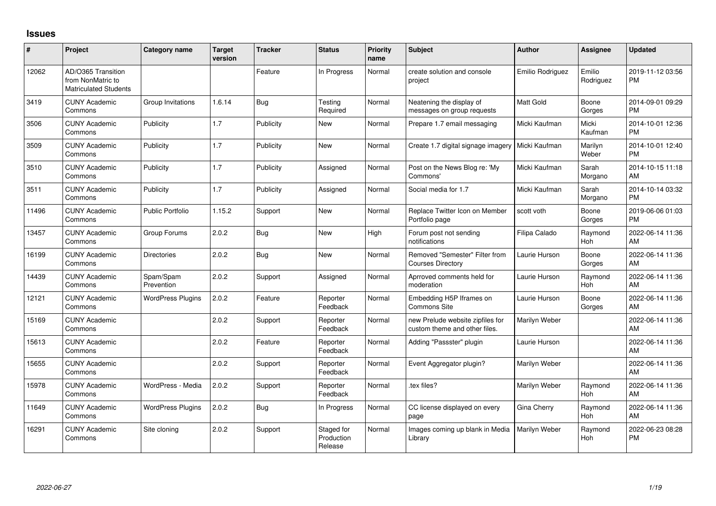## **Issues**

| #     | <b>Project</b>                                                          | <b>Category name</b>     | Target<br>version | <b>Tracker</b> | <b>Status</b>                       | <b>Priority</b><br>name | <b>Subject</b>                                                    | <b>Author</b>    | <b>Assignee</b>       | <b>Updated</b>                |
|-------|-------------------------------------------------------------------------|--------------------------|-------------------|----------------|-------------------------------------|-------------------------|-------------------------------------------------------------------|------------------|-----------------------|-------------------------------|
| 12062 | AD/O365 Transition<br>from NonMatric to<br><b>Matriculated Students</b> |                          |                   | Feature        | In Progress                         | Normal                  | create solution and console<br>project                            | Emilio Rodriguez | Emilio<br>Rodriguez   | 2019-11-12 03:56<br><b>PM</b> |
| 3419  | <b>CUNY Academic</b><br>Commons                                         | Group Invitations        | 1.6.14            | <b>Bug</b>     | Testing<br>Required                 | Normal                  | Neatening the display of<br>messages on group requests            | <b>Matt Gold</b> | Boone<br>Gorges       | 2014-09-01 09:29<br><b>PM</b> |
| 3506  | <b>CUNY Academic</b><br>Commons                                         | Publicity                | 1.7               | Publicity      | <b>New</b>                          | Normal                  | Prepare 1.7 email messaging                                       | Micki Kaufman    | Micki<br>Kaufman      | 2014-10-01 12:36<br><b>PM</b> |
| 3509  | <b>CUNY Academic</b><br>Commons                                         | Publicity                | 1.7               | Publicity      | <b>New</b>                          | Normal                  | Create 1.7 digital signage imagery                                | Micki Kaufman    | Marilyn<br>Weber      | 2014-10-01 12:40<br><b>PM</b> |
| 3510  | <b>CUNY Academic</b><br>Commons                                         | Publicity                | 1.7               | Publicity      | Assigned                            | Normal                  | Post on the News Blog re: 'My<br>Commons'                         | Micki Kaufman    | Sarah<br>Morgano      | 2014-10-15 11:18<br>AM        |
| 3511  | <b>CUNY Academic</b><br>Commons                                         | Publicity                | 1.7               | Publicity      | Assigned                            | Normal                  | Social media for 1.7                                              | Micki Kaufman    | Sarah<br>Morgano      | 2014-10-14 03:32<br><b>PM</b> |
| 11496 | <b>CUNY Academic</b><br>Commons                                         | Public Portfolio         | 1.15.2            | Support        | <b>New</b>                          | Normal                  | Replace Twitter Icon on Member<br>Portfolio page                  | scott voth       | Boone<br>Gorges       | 2019-06-06 01:03<br><b>PM</b> |
| 13457 | <b>CUNY Academic</b><br>Commons                                         | Group Forums             | 2.0.2             | Bug            | <b>New</b>                          | High                    | Forum post not sending<br>notifications                           | Filipa Calado    | Raymond<br><b>Hoh</b> | 2022-06-14 11:36<br>AM        |
| 16199 | <b>CUNY Academic</b><br>Commons                                         | Directories              | 2.0.2             | <b>Bug</b>     | New                                 | Normal                  | Removed "Semester" Filter from<br><b>Courses Directory</b>        | Laurie Hurson    | Boone<br>Gorges       | 2022-06-14 11:36<br>AM        |
| 14439 | <b>CUNY Academic</b><br>Commons                                         | Spam/Spam<br>Prevention  | 2.0.2             | Support        | Assigned                            | Normal                  | Aprroved comments held for<br>moderation                          | Laurie Hurson    | Raymond<br><b>Hoh</b> | 2022-06-14 11:36<br>AM        |
| 12121 | <b>CUNY Academic</b><br>Commons                                         | <b>WordPress Plugins</b> | 2.0.2             | Feature        | Reporter<br>Feedback                | Normal                  | Embedding H5P Iframes on<br>Commons Site                          | Laurie Hurson    | Boone<br>Gorges       | 2022-06-14 11:36<br>AM        |
| 15169 | <b>CUNY Academic</b><br>Commons                                         |                          | 2.0.2             | Support        | Reporter<br>Feedback                | Normal                  | new Prelude website zipfiles for<br>custom theme and other files. | Marilyn Weber    |                       | 2022-06-14 11:36<br>AM        |
| 15613 | <b>CUNY Academic</b><br>Commons                                         |                          | 2.0.2             | Feature        | Reporter<br>Feedback                | Normal                  | Adding "Passster" plugin                                          | Laurie Hurson    |                       | 2022-06-14 11:36<br>AM        |
| 15655 | <b>CUNY Academic</b><br>Commons                                         |                          | 2.0.2             | Support        | Reporter<br>Feedback                | Normal                  | Event Aggregator plugin?                                          | Marilyn Weber    |                       | 2022-06-14 11:36<br>AM        |
| 15978 | <b>CUNY Academic</b><br>Commons                                         | WordPress - Media        | 2.0.2             | Support        | Reporter<br>Feedback                | Normal                  | tex files?                                                        | Marilyn Weber    | Raymond<br><b>Hoh</b> | 2022-06-14 11:36<br>AM        |
| 11649 | <b>CUNY Academic</b><br>Commons                                         | <b>WordPress Plugins</b> | 2.0.2             | <b>Bug</b>     | In Progress                         | Normal                  | CC license displayed on every<br>page                             | Gina Cherry      | Raymond<br><b>Hoh</b> | 2022-06-14 11:36<br>AM        |
| 16291 | <b>CUNY Academic</b><br>Commons                                         | Site cloning             | 2.0.2             | Support        | Staged for<br>Production<br>Release | Normal                  | Images coming up blank in Media<br>Library                        | Marilyn Weber    | Raymond<br>Hoh        | 2022-06-23 08:28<br><b>PM</b> |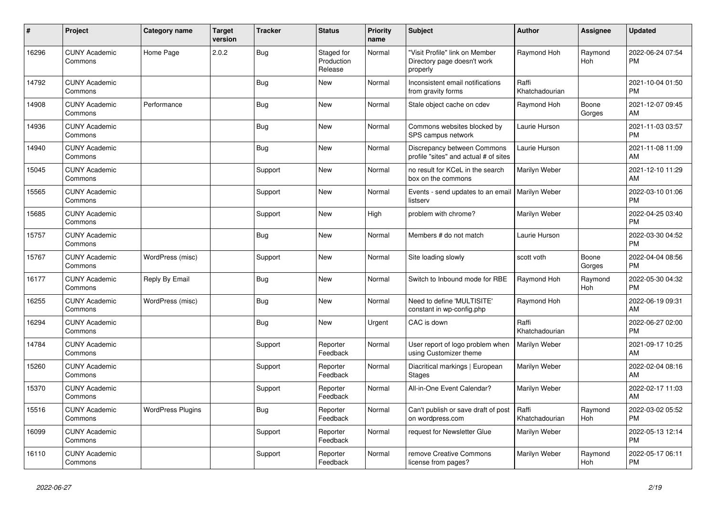| #     | Project                         | <b>Category name</b>     | <b>Target</b><br>version | <b>Tracker</b> | <b>Status</b>                       | <b>Priority</b><br>name | <b>Subject</b>                                                            | <b>Author</b>           | <b>Assignee</b> | <b>Updated</b>                |
|-------|---------------------------------|--------------------------|--------------------------|----------------|-------------------------------------|-------------------------|---------------------------------------------------------------------------|-------------------------|-----------------|-------------------------------|
| 16296 | <b>CUNY Academic</b><br>Commons | Home Page                | 2.0.2                    | <b>Bug</b>     | Staged for<br>Production<br>Release | Normal                  | "Visit Profile" link on Member<br>Directory page doesn't work<br>properly | Raymond Hoh             | Raymond<br>Hoh  | 2022-06-24 07:54<br><b>PM</b> |
| 14792 | <b>CUNY Academic</b><br>Commons |                          |                          | Bug            | <b>New</b>                          | Normal                  | Inconsistent email notifications<br>from gravity forms                    | Raffi<br>Khatchadourian |                 | 2021-10-04 01:50<br><b>PM</b> |
| 14908 | <b>CUNY Academic</b><br>Commons | Performance              |                          | Bug            | <b>New</b>                          | Normal                  | Stale object cache on cdev                                                | Raymond Hoh             | Boone<br>Gorges | 2021-12-07 09:45<br>AM        |
| 14936 | <b>CUNY Academic</b><br>Commons |                          |                          | <b>Bug</b>     | <b>New</b>                          | Normal                  | Commons websites blocked by<br>SPS campus network                         | Laurie Hurson           |                 | 2021-11-03 03:57<br><b>PM</b> |
| 14940 | <b>CUNY Academic</b><br>Commons |                          |                          | Bug            | New                                 | Normal                  | Discrepancy between Commons<br>profile "sites" and actual # of sites      | Laurie Hurson           |                 | 2021-11-08 11:09<br>AM        |
| 15045 | <b>CUNY Academic</b><br>Commons |                          |                          | Support        | <b>New</b>                          | Normal                  | no result for KCeL in the search<br>box on the commons                    | Marilyn Weber           |                 | 2021-12-10 11:29<br>AM        |
| 15565 | <b>CUNY Academic</b><br>Commons |                          |                          | Support        | New                                 | Normal                  | Events - send updates to an email<br>listserv                             | Marilyn Weber           |                 | 2022-03-10 01:06<br><b>PM</b> |
| 15685 | <b>CUNY Academic</b><br>Commons |                          |                          | Support        | <b>New</b>                          | High                    | problem with chrome?                                                      | Marilyn Weber           |                 | 2022-04-25 03:40<br><b>PM</b> |
| 15757 | <b>CUNY Academic</b><br>Commons |                          |                          | Bug            | <b>New</b>                          | Normal                  | Members # do not match                                                    | Laurie Hurson           |                 | 2022-03-30 04:52<br><b>PM</b> |
| 15767 | <b>CUNY Academic</b><br>Commons | WordPress (misc)         |                          | Support        | New                                 | Normal                  | Site loading slowly                                                       | scott voth              | Boone<br>Gorges | 2022-04-04 08:56<br><b>PM</b> |
| 16177 | <b>CUNY Academic</b><br>Commons | Reply By Email           |                          | Bug            | <b>New</b>                          | Normal                  | Switch to Inbound mode for RBE                                            | Raymond Hoh             | Raymond<br>Hoh  | 2022-05-30 04:32<br><b>PM</b> |
| 16255 | <b>CUNY Academic</b><br>Commons | WordPress (misc)         |                          | Bug            | <b>New</b>                          | Normal                  | Need to define 'MULTISITE'<br>constant in wp-config.php                   | Raymond Hoh             |                 | 2022-06-19 09:31<br>AM        |
| 16294 | <b>CUNY Academic</b><br>Commons |                          |                          | Bug            | New                                 | Urgent                  | CAC is down                                                               | Raffi<br>Khatchadourian |                 | 2022-06-27 02:00<br><b>PM</b> |
| 14784 | <b>CUNY Academic</b><br>Commons |                          |                          | Support        | Reporter<br>Feedback                | Normal                  | User report of logo problem when<br>using Customizer theme                | Marilyn Weber           |                 | 2021-09-17 10:25<br>AM        |
| 15260 | <b>CUNY Academic</b><br>Commons |                          |                          | Support        | Reporter<br>Feedback                | Normal                  | Diacritical markings   European<br><b>Stages</b>                          | Marilyn Weber           |                 | 2022-02-04 08:16<br>AM        |
| 15370 | <b>CUNY Academic</b><br>Commons |                          |                          | Support        | Reporter<br>Feedback                | Normal                  | All-in-One Event Calendar?                                                | Marilyn Weber           |                 | 2022-02-17 11:03<br>AM        |
| 15516 | <b>CUNY Academic</b><br>Commons | <b>WordPress Plugins</b> |                          | Bug            | Reporter<br>Feedback                | Normal                  | Can't publish or save draft of post<br>on wordpress.com                   | Raffi<br>Khatchadourian | Raymond<br>Hoh  | 2022-03-02 05:52<br><b>PM</b> |
| 16099 | <b>CUNY Academic</b><br>Commons |                          |                          | Support        | Reporter<br>Feedback                | Normal                  | request for Newsletter Glue                                               | Marilyn Weber           |                 | 2022-05-13 12:14<br><b>PM</b> |
| 16110 | <b>CUNY Academic</b><br>Commons |                          |                          | Support        | Reporter<br>Feedback                | Normal                  | remove Creative Commons<br>license from pages?                            | Marilyn Weber           | Raymond<br>Hoh  | 2022-05-17 06:11<br><b>PM</b> |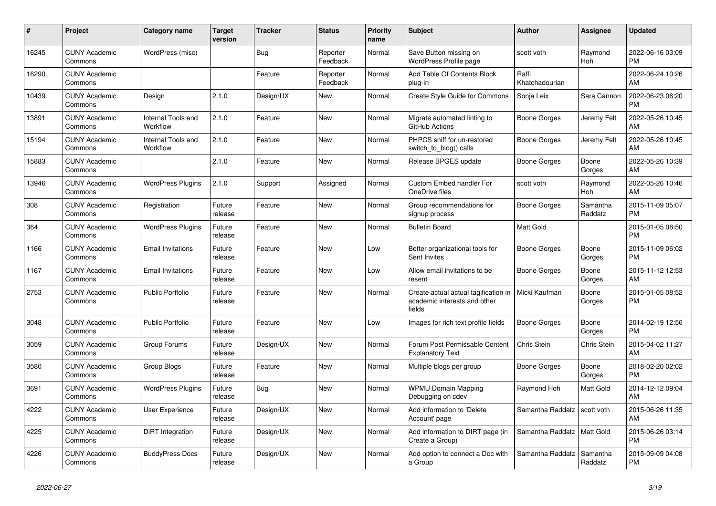| $\#$  | Project                         | <b>Category name</b>           | <b>Target</b><br>version | <b>Tracker</b> | <b>Status</b>        | <b>Priority</b><br>name | <b>Subject</b>                                                                 | <b>Author</b>           | Assignee            | <b>Updated</b>                |
|-------|---------------------------------|--------------------------------|--------------------------|----------------|----------------------|-------------------------|--------------------------------------------------------------------------------|-------------------------|---------------------|-------------------------------|
| 16245 | <b>CUNY Academic</b><br>Commons | WordPress (misc)               |                          | <b>Bug</b>     | Reporter<br>Feedback | Normal                  | Save Button missing on<br>WordPress Profile page                               | scott voth              | Raymond<br>Hoh      | 2022-06-16 03:09<br><b>PM</b> |
| 16290 | <b>CUNY Academic</b><br>Commons |                                |                          | Feature        | Reporter<br>Feedback | Normal                  | Add Table Of Contents Block<br>plug-in                                         | Raffi<br>Khatchadourian |                     | 2022-06-24 10:26<br>AM        |
| 10439 | <b>CUNY Academic</b><br>Commons | Design                         | 2.1.0                    | Design/UX      | New                  | Normal                  | Create Style Guide for Commons                                                 | Sonja Leix              | Sara Cannon         | 2022-06-23 06:20<br><b>PM</b> |
| 13891 | <b>CUNY Academic</b><br>Commons | Internal Tools and<br>Workflow | 2.1.0                    | Feature        | <b>New</b>           | Normal                  | Migrate automated linting to<br>GitHub Actions                                 | Boone Gorges            | Jeremy Felt         | 2022-05-26 10:45<br>AM        |
| 15194 | <b>CUNY Academic</b><br>Commons | Internal Tools and<br>Workflow | 2.1.0                    | Feature        | <b>New</b>           | Normal                  | PHPCS sniff for un-restored<br>switch_to_blog() calls                          | Boone Gorges            | Jeremy Felt         | 2022-05-26 10:45<br>AM        |
| 15883 | <b>CUNY Academic</b><br>Commons |                                | 2.1.0                    | Feature        | <b>New</b>           | Normal                  | Release BPGES update                                                           | <b>Boone Gorges</b>     | Boone<br>Gorges     | 2022-05-26 10:39<br>AM        |
| 13946 | <b>CUNY Academic</b><br>Commons | <b>WordPress Plugins</b>       | 2.1.0                    | Support        | Assigned             | Normal                  | <b>Custom Embed handler For</b><br>OneDrive files                              | scott voth              | Raymond<br>Hoh      | 2022-05-26 10:46<br>AM        |
| 308   | <b>CUNY Academic</b><br>Commons | Registration                   | Future<br>release        | Feature        | <b>New</b>           | Normal                  | Group recommendations for<br>signup process                                    | Boone Gorges            | Samantha<br>Raddatz | 2015-11-09 05:07<br><b>PM</b> |
| 364   | <b>CUNY Academic</b><br>Commons | WordPress Plugins              | Future<br>release        | Feature        | <b>New</b>           | Normal                  | <b>Bulletin Board</b>                                                          | <b>Matt Gold</b>        |                     | 2015-01-05 08:50<br><b>PM</b> |
| 1166  | <b>CUNY Academic</b><br>Commons | <b>Email Invitations</b>       | Future<br>release        | Feature        | <b>New</b>           | Low                     | Better organizational tools for<br>Sent Invites                                | <b>Boone Gorges</b>     | Boone<br>Gorges     | 2015-11-09 06:02<br><b>PM</b> |
| 1167  | <b>CUNY Academic</b><br>Commons | <b>Email Invitations</b>       | Future<br>release        | Feature        | <b>New</b>           | Low                     | Allow email invitations to be<br>resent                                        | Boone Gorges            | Boone<br>Gorges     | 2015-11-12 12:53<br>AM        |
| 2753  | <b>CUNY Academic</b><br>Commons | <b>Public Portfolio</b>        | Future<br>release        | Feature        | New                  | Normal                  | Create actual actual tagification in<br>academic interests and other<br>fields | Micki Kaufman           | Boone<br>Gorges     | 2015-01-05 08:52<br><b>PM</b> |
| 3048  | <b>CUNY Academic</b><br>Commons | <b>Public Portfolio</b>        | Future<br>release        | Feature        | <b>New</b>           | Low                     | Images for rich text profile fields                                            | Boone Gorges            | Boone<br>Gorges     | 2014-02-19 12:56<br><b>PM</b> |
| 3059  | <b>CUNY Academic</b><br>Commons | Group Forums                   | Future<br>release        | Design/UX      | <b>New</b>           | Normal                  | Forum Post Permissable Content<br><b>Explanatory Text</b>                      | Chris Stein             | Chris Stein         | 2015-04-02 11:27<br>AM        |
| 3580  | <b>CUNY Academic</b><br>Commons | Group Blogs                    | Future<br>release        | Feature        | <b>New</b>           | Normal                  | Multiple blogs per group                                                       | <b>Boone Gorges</b>     | Boone<br>Gorges     | 2018-02-20 02:02<br><b>PM</b> |
| 3691  | <b>CUNY Academic</b><br>Commons | <b>WordPress Plugins</b>       | Future<br>release        | <b>Bug</b>     | <b>New</b>           | Normal                  | <b>WPMU Domain Mapping</b><br>Debugging on cdev                                | Raymond Hoh             | Matt Gold           | 2014-12-12 09:04<br>AM        |
| 4222  | <b>CUNY Academic</b><br>Commons | User Experience                | Future<br>release        | Design/UX      | <b>New</b>           | Normal                  | Add information to 'Delete<br>Account' page                                    | Samantha Raddatz        | scott voth          | 2015-06-26 11:35<br>AM        |
| 4225  | <b>CUNY Academic</b><br>Commons | DiRT Integration               | Future<br>release        | Design/UX      | <b>New</b>           | Normal                  | Add information to DIRT page (in<br>Create a Group)                            | Samantha Raddatz        | Matt Gold           | 2015-06-26 03:14<br><b>PM</b> |
| 4226  | <b>CUNY Academic</b><br>Commons | <b>BuddyPress Docs</b>         | Future<br>release        | Design/UX      | <b>New</b>           | Normal                  | Add option to connect a Doc with<br>a Group                                    | Samantha Raddatz        | Samantha<br>Raddatz | 2015-09-09 04:08<br><b>PM</b> |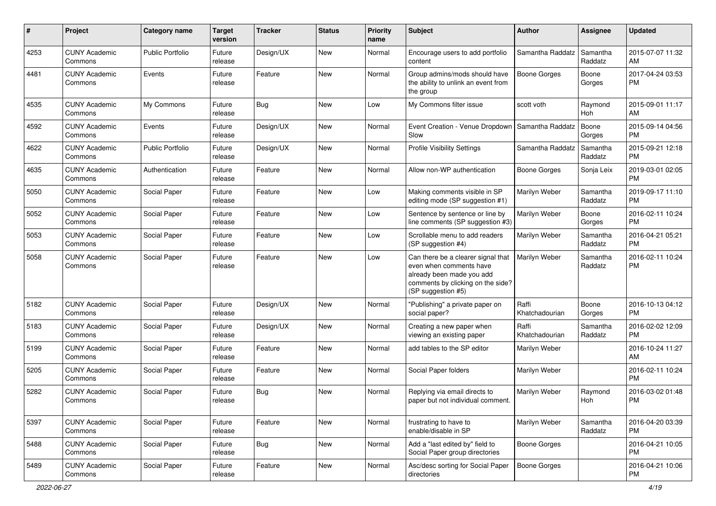| #    | Project                         | <b>Category name</b>    | Target<br>version | <b>Tracker</b> | <b>Status</b> | <b>Priority</b><br>name | <b>Subject</b>                                                                                                                                        | Author                  | <b>Assignee</b>     | <b>Updated</b>                |
|------|---------------------------------|-------------------------|-------------------|----------------|---------------|-------------------------|-------------------------------------------------------------------------------------------------------------------------------------------------------|-------------------------|---------------------|-------------------------------|
| 4253 | <b>CUNY Academic</b><br>Commons | <b>Public Portfolio</b> | Future<br>release | Design/UX      | New           | Normal                  | Encourage users to add portfolio<br>content                                                                                                           | Samantha Raddatz        | Samantha<br>Raddatz | 2015-07-07 11:32<br>AM        |
| 4481 | <b>CUNY Academic</b><br>Commons | Events                  | Future<br>release | Feature        | New           | Normal                  | Group admins/mods should have<br>the ability to unlink an event from<br>the group                                                                     | <b>Boone Gorges</b>     | Boone<br>Gorges     | 2017-04-24 03:53<br><b>PM</b> |
| 4535 | <b>CUNY Academic</b><br>Commons | My Commons              | Future<br>release | <b>Bug</b>     | New           | Low                     | My Commons filter issue                                                                                                                               | scott voth              | Raymond<br>Hoh      | 2015-09-01 11:17<br>AM        |
| 4592 | <b>CUNY Academic</b><br>Commons | Events                  | Future<br>release | Design/UX      | New           | Normal                  | Event Creation - Venue Dropdown<br>Slow                                                                                                               | Samantha Raddatz        | Boone<br>Gorges     | 2015-09-14 04:56<br><b>PM</b> |
| 4622 | <b>CUNY Academic</b><br>Commons | <b>Public Portfolio</b> | Future<br>release | Design/UX      | <b>New</b>    | Normal                  | <b>Profile Visibility Settings</b>                                                                                                                    | Samantha Raddatz        | Samantha<br>Raddatz | 2015-09-21 12:18<br><b>PM</b> |
| 4635 | <b>CUNY Academic</b><br>Commons | Authentication          | Future<br>release | Feature        | <b>New</b>    | Normal                  | Allow non-WP authentication                                                                                                                           | Boone Gorges            | Sonja Leix          | 2019-03-01 02:05<br>PM        |
| 5050 | <b>CUNY Academic</b><br>Commons | Social Paper            | Future<br>release | Feature        | New           | Low                     | Making comments visible in SP<br>editing mode (SP suggestion #1)                                                                                      | Marilyn Weber           | Samantha<br>Raddatz | 2019-09-17 11:10<br><b>PM</b> |
| 5052 | <b>CUNY Academic</b><br>Commons | Social Paper            | Future<br>release | Feature        | <b>New</b>    | Low                     | Sentence by sentence or line by<br>line comments (SP suggestion #3)                                                                                   | Marilyn Weber           | Boone<br>Gorges     | 2016-02-11 10:24<br><b>PM</b> |
| 5053 | <b>CUNY Academic</b><br>Commons | Social Paper            | Future<br>release | Feature        | <b>New</b>    | Low                     | Scrollable menu to add readers<br>(SP suggestion #4)                                                                                                  | Marilyn Weber           | Samantha<br>Raddatz | 2016-04-21 05:21<br><b>PM</b> |
| 5058 | <b>CUNY Academic</b><br>Commons | Social Paper            | Future<br>release | Feature        | New           | Low                     | Can there be a clearer signal that<br>even when comments have<br>already been made you add<br>comments by clicking on the side?<br>(SP suggestion #5) | Marilyn Weber           | Samantha<br>Raddatz | 2016-02-11 10:24<br><b>PM</b> |
| 5182 | <b>CUNY Academic</b><br>Commons | Social Paper            | Future<br>release | Design/UX      | New           | Normal                  | "Publishing" a private paper on<br>social paper?                                                                                                      | Raffi<br>Khatchadourian | Boone<br>Gorges     | 2016-10-13 04:12<br><b>PM</b> |
| 5183 | <b>CUNY Academic</b><br>Commons | Social Paper            | Future<br>release | Design/UX      | <b>New</b>    | Normal                  | Creating a new paper when<br>viewing an existing paper                                                                                                | Raffi<br>Khatchadourian | Samantha<br>Raddatz | 2016-02-02 12:09<br><b>PM</b> |
| 5199 | <b>CUNY Academic</b><br>Commons | Social Paper            | Future<br>release | Feature        | <b>New</b>    | Normal                  | add tables to the SP editor                                                                                                                           | Marilyn Weber           |                     | 2016-10-24 11:27<br>AM        |
| 5205 | <b>CUNY Academic</b><br>Commons | Social Paper            | Future<br>release | Feature        | <b>New</b>    | Normal                  | Social Paper folders                                                                                                                                  | Marilyn Weber           |                     | 2016-02-11 10:24<br><b>PM</b> |
| 5282 | <b>CUNY Academic</b><br>Commons | Social Paper            | Future<br>release | <b>Bug</b>     | <b>New</b>    | Normal                  | Replying via email directs to<br>paper but not individual comment.                                                                                    | Marilyn Weber           | Raymond<br>Hoh      | 2016-03-02 01:48<br>PM        |
| 5397 | <b>CUNY Academic</b><br>Commons | Social Paper            | Future<br>release | Feature        | New           | Normal                  | frustrating to have to<br>enable/disable in SP                                                                                                        | Marilyn Weber           | Samantha<br>Raddatz | 2016-04-20 03:39<br>PM        |
| 5488 | <b>CUNY Academic</b><br>Commons | Social Paper            | Future<br>release | <b>Bug</b>     | New           | Normal                  | Add a "last edited by" field to<br>Social Paper group directories                                                                                     | Boone Gorges            |                     | 2016-04-21 10:05<br><b>PM</b> |
| 5489 | <b>CUNY Academic</b><br>Commons | Social Paper            | Future<br>release | Feature        | New           | Normal                  | Asc/desc sorting for Social Paper<br>directories                                                                                                      | <b>Boone Gorges</b>     |                     | 2016-04-21 10:06<br>PM        |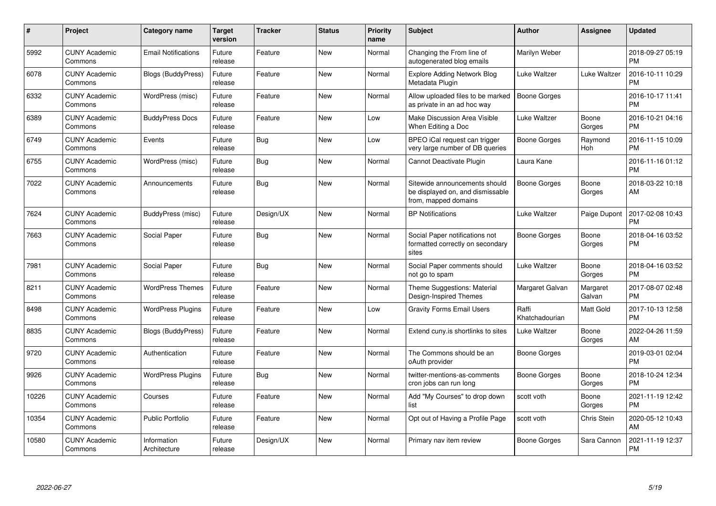| #     | Project                         | <b>Category name</b>        | Target<br>version | <b>Tracker</b> | <b>Status</b> | <b>Priority</b><br>name | <b>Subject</b>                                                                            | <b>Author</b>           | <b>Assignee</b>       | <b>Updated</b>                |
|-------|---------------------------------|-----------------------------|-------------------|----------------|---------------|-------------------------|-------------------------------------------------------------------------------------------|-------------------------|-----------------------|-------------------------------|
| 5992  | <b>CUNY Academic</b><br>Commons | <b>Email Notifications</b>  | Future<br>release | Feature        | <b>New</b>    | Normal                  | Changing the From line of<br>autogenerated blog emails                                    | Marilyn Weber           |                       | 2018-09-27 05:19<br><b>PM</b> |
| 6078  | <b>CUNY Academic</b><br>Commons | <b>Blogs (BuddyPress)</b>   | Future<br>release | Feature        | New           | Normal                  | <b>Explore Adding Network Blog</b><br>Metadata Plugin                                     | Luke Waltzer            | Luke Waltzer          | 2016-10-11 10:29<br><b>PM</b> |
| 6332  | <b>CUNY Academic</b><br>Commons | WordPress (misc)            | Future<br>release | Feature        | <b>New</b>    | Normal                  | Allow uploaded files to be marked<br>as private in an ad hoc way                          | Boone Gorges            |                       | 2016-10-17 11:41<br><b>PM</b> |
| 6389  | <b>CUNY Academic</b><br>Commons | <b>BuddyPress Docs</b>      | Future<br>release | Feature        | <b>New</b>    | Low                     | Make Discussion Area Visible<br>When Editing a Doc                                        | Luke Waltzer            | Boone<br>Gorges       | 2016-10-21 04:16<br><b>PM</b> |
| 6749  | <b>CUNY Academic</b><br>Commons | Events                      | Future<br>release | Bug            | <b>New</b>    | Low                     | BPEO iCal request can trigger<br>very large number of DB queries                          | Boone Gorges            | Raymond<br><b>Hoh</b> | 2016-11-15 10:09<br><b>PM</b> |
| 6755  | <b>CUNY Academic</b><br>Commons | WordPress (misc)            | Future<br>release | Bug            | <b>New</b>    | Normal                  | Cannot Deactivate Plugin                                                                  | Laura Kane              |                       | 2016-11-16 01:12<br><b>PM</b> |
| 7022  | <b>CUNY Academic</b><br>Commons | Announcements               | Future<br>release | <b>Bug</b>     | <b>New</b>    | Normal                  | Sitewide announcements should<br>be displayed on, and dismissable<br>from, mapped domains | <b>Boone Gorges</b>     | Boone<br>Gorges       | 2018-03-22 10:18<br>AM        |
| 7624  | <b>CUNY Academic</b><br>Commons | BuddyPress (misc)           | Future<br>release | Design/UX      | <b>New</b>    | Normal                  | <b>BP Notifications</b>                                                                   | Luke Waltzer            | Paige Dupont          | 2017-02-08 10:43<br><b>PM</b> |
| 7663  | <b>CUNY Academic</b><br>Commons | Social Paper                | Future<br>release | <b>Bug</b>     | <b>New</b>    | Normal                  | Social Paper notifications not<br>formatted correctly on secondary<br>sites               | Boone Gorges            | Boone<br>Gorges       | 2018-04-16 03:52<br><b>PM</b> |
| 7981  | <b>CUNY Academic</b><br>Commons | Social Paper                | Future<br>release | <b>Bug</b>     | <b>New</b>    | Normal                  | Social Paper comments should<br>not go to spam                                            | Luke Waltzer            | Boone<br>Gorges       | 2018-04-16 03:52<br><b>PM</b> |
| 8211  | <b>CUNY Academic</b><br>Commons | <b>WordPress Themes</b>     | Future<br>release | Feature        | <b>New</b>    | Normal                  | Theme Suggestions: Material<br>Design-Inspired Themes                                     | Margaret Galvan         | Margaret<br>Galvan    | 2017-08-07 02:48<br><b>PM</b> |
| 8498  | <b>CUNY Academic</b><br>Commons | <b>WordPress Plugins</b>    | Future<br>release | Feature        | <b>New</b>    | Low                     | <b>Gravity Forms Email Users</b>                                                          | Raffi<br>Khatchadourian | Matt Gold             | 2017-10-13 12:58<br><b>PM</b> |
| 8835  | <b>CUNY Academic</b><br>Commons | Blogs (BuddyPress)          | Future<br>release | Feature        | <b>New</b>    | Normal                  | Extend cuny.is shortlinks to sites                                                        | Luke Waltzer            | Boone<br>Gorges       | 2022-04-26 11:59<br>AM        |
| 9720  | <b>CUNY Academic</b><br>Commons | Authentication              | Future<br>release | Feature        | <b>New</b>    | Normal                  | The Commons should be an<br>oAuth provider                                                | Boone Gorges            |                       | 2019-03-01 02:04<br><b>PM</b> |
| 9926  | <b>CUNY Academic</b><br>Commons | <b>WordPress Plugins</b>    | Future<br>release | <b>Bug</b>     | <b>New</b>    | Normal                  | twitter-mentions-as-comments<br>cron jobs can run long                                    | Boone Gorges            | Boone<br>Gorges       | 2018-10-24 12:34<br><b>PM</b> |
| 10226 | <b>CUNY Academic</b><br>Commons | Courses                     | Future<br>release | Feature        | <b>New</b>    | Normal                  | Add "My Courses" to drop down<br>list                                                     | scott voth              | Boone<br>Gorges       | 2021-11-19 12:42<br><b>PM</b> |
| 10354 | <b>CUNY Academic</b><br>Commons | <b>Public Portfolio</b>     | Future<br>release | Feature        | <b>New</b>    | Normal                  | Opt out of Having a Profile Page                                                          | scott voth              | Chris Stein           | 2020-05-12 10:43<br>AM        |
| 10580 | <b>CUNY Academic</b><br>Commons | Information<br>Architecture | Future<br>release | Design/UX      | <b>New</b>    | Normal                  | Primary nav item review                                                                   | Boone Gorges            | Sara Cannon           | 2021-11-19 12:37<br><b>PM</b> |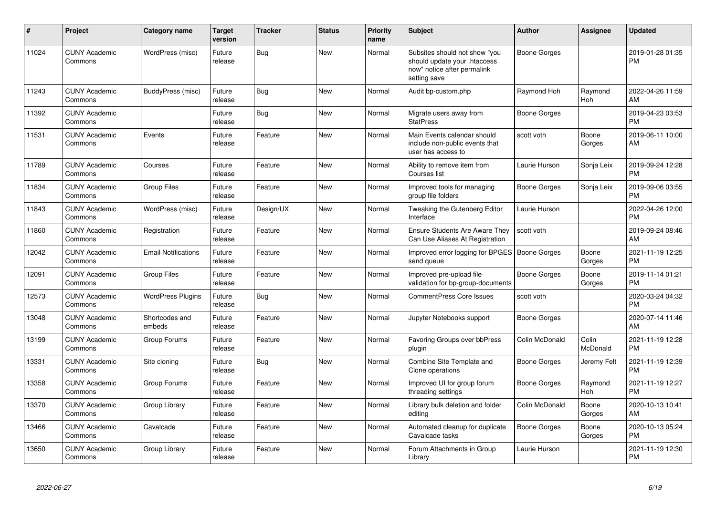| #     | Project                         | <b>Category name</b>       | <b>Target</b><br>version | <b>Tracker</b> | <b>Status</b> | <b>Priority</b><br>name | <b>Subject</b>                                                                                               | <b>Author</b>       | Assignee              | <b>Updated</b>                |
|-------|---------------------------------|----------------------------|--------------------------|----------------|---------------|-------------------------|--------------------------------------------------------------------------------------------------------------|---------------------|-----------------------|-------------------------------|
| 11024 | <b>CUNY Academic</b><br>Commons | WordPress (misc)           | Future<br>release        | Bug            | <b>New</b>    | Normal                  | Subsites should not show "you<br>should update your .htaccess<br>now" notice after permalink<br>setting save | <b>Boone Gorges</b> |                       | 2019-01-28 01:35<br><b>PM</b> |
| 11243 | <b>CUNY Academic</b><br>Commons | BuddyPress (misc)          | Future<br>release        | <b>Bug</b>     | <b>New</b>    | Normal                  | Audit bp-custom.php                                                                                          | Raymond Hoh         | Raymond<br><b>Hoh</b> | 2022-04-26 11:59<br>AM        |
| 11392 | <b>CUNY Academic</b><br>Commons |                            | Future<br>release        | Bug            | <b>New</b>    | Normal                  | Migrate users away from<br><b>StatPress</b>                                                                  | <b>Boone Gorges</b> |                       | 2019-04-23 03:53<br><b>PM</b> |
| 11531 | <b>CUNY Academic</b><br>Commons | Events                     | Future<br>release        | Feature        | <b>New</b>    | Normal                  | Main Events calendar should<br>include non-public events that<br>user has access to                          | scott voth          | Boone<br>Gorges       | 2019-06-11 10:00<br>AM        |
| 11789 | <b>CUNY Academic</b><br>Commons | Courses                    | Future<br>release        | Feature        | <b>New</b>    | Normal                  | Ability to remove item from<br>Courses list                                                                  | Laurie Hurson       | Sonja Leix            | 2019-09-24 12:28<br><b>PM</b> |
| 11834 | <b>CUNY Academic</b><br>Commons | <b>Group Files</b>         | Future<br>release        | Feature        | New           | Normal                  | Improved tools for managing<br>group file folders                                                            | Boone Gorges        | Sonja Leix            | 2019-09-06 03:55<br><b>PM</b> |
| 11843 | <b>CUNY Academic</b><br>Commons | WordPress (misc)           | Future<br>release        | Design/UX      | <b>New</b>    | Normal                  | Tweaking the Gutenberg Editor<br>Interface                                                                   | Laurie Hurson       |                       | 2022-04-26 12:00<br>PM        |
| 11860 | <b>CUNY Academic</b><br>Commons | Registration               | Future<br>release        | Feature        | <b>New</b>    | Normal                  | <b>Ensure Students Are Aware They</b><br>Can Use Aliases At Registration                                     | scott voth          |                       | 2019-09-24 08:46<br>AM        |
| 12042 | <b>CUNY Academic</b><br>Commons | <b>Email Notifications</b> | Future<br>release        | Feature        | <b>New</b>    | Normal                  | Improved error logging for BPGES   Boone Gorges<br>send queue                                                |                     | Boone<br>Gorges       | 2021-11-19 12:25<br><b>PM</b> |
| 12091 | <b>CUNY Academic</b><br>Commons | <b>Group Files</b>         | Future<br>release        | Feature        | <b>New</b>    | Normal                  | Improved pre-upload file<br>validation for bp-group-documents                                                | Boone Gorges        | Boone<br>Gorges       | 2019-11-14 01:21<br><b>PM</b> |
| 12573 | <b>CUNY Academic</b><br>Commons | <b>WordPress Plugins</b>   | Future<br>release        | <b>Bug</b>     | <b>New</b>    | Normal                  | <b>CommentPress Core Issues</b>                                                                              | scott voth          |                       | 2020-03-24 04:32<br><b>PM</b> |
| 13048 | <b>CUNY Academic</b><br>Commons | Shortcodes and<br>embeds   | Future<br>release        | Feature        | <b>New</b>    | Normal                  | Jupyter Notebooks support                                                                                    | Boone Gorges        |                       | 2020-07-14 11:46<br>AM        |
| 13199 | <b>CUNY Academic</b><br>Commons | Group Forums               | Future<br>release        | Feature        | <b>New</b>    | Normal                  | Favoring Groups over bbPress<br>plugin                                                                       | Colin McDonald      | Colin<br>McDonald     | 2021-11-19 12:28<br>PM        |
| 13331 | <b>CUNY Academic</b><br>Commons | Site cloning               | Future<br>release        | <b>Bug</b>     | <b>New</b>    | Normal                  | Combine Site Template and<br>Clone operations                                                                | Boone Gorges        | Jeremy Felt           | 2021-11-19 12:39<br>PM        |
| 13358 | <b>CUNY Academic</b><br>Commons | Group Forums               | Future<br>release        | Feature        | <b>New</b>    | Normal                  | Improved UI for group forum<br>threading settings                                                            | Boone Gorges        | Raymond<br>Hoh        | 2021-11-19 12:27<br>PM        |
| 13370 | <b>CUNY Academic</b><br>Commons | Group Library              | Future<br>release        | Feature        | New           | Normal                  | Library bulk deletion and folder<br>editing                                                                  | Colin McDonald      | Boone<br>Gorges       | 2020-10-13 10:41<br>AM        |
| 13466 | <b>CUNY Academic</b><br>Commons | Cavalcade                  | Future<br>release        | Feature        | <b>New</b>    | Normal                  | Automated cleanup for duplicate<br>Cavalcade tasks                                                           | Boone Gorges        | Boone<br>Gorges       | 2020-10-13 05:24<br><b>PM</b> |
| 13650 | <b>CUNY Academic</b><br>Commons | Group Library              | Future<br>release        | Feature        | <b>New</b>    | Normal                  | Forum Attachments in Group<br>Library                                                                        | Laurie Hurson       |                       | 2021-11-19 12:30<br>PM        |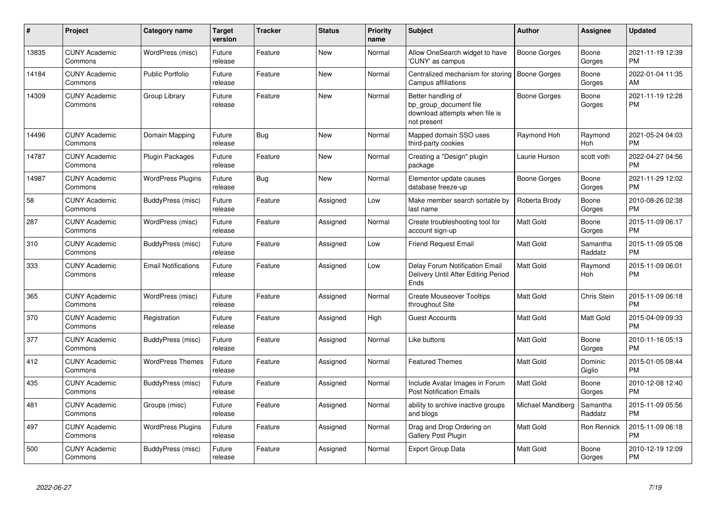| #     | Project                         | <b>Category name</b>       | <b>Target</b><br>version | <b>Tracker</b> | <b>Status</b> | <b>Priority</b><br>name | <b>Subject</b>                                                                                | <b>Author</b>       | Assignee              | <b>Updated</b>                |
|-------|---------------------------------|----------------------------|--------------------------|----------------|---------------|-------------------------|-----------------------------------------------------------------------------------------------|---------------------|-----------------------|-------------------------------|
| 13835 | <b>CUNY Academic</b><br>Commons | WordPress (misc)           | Future<br>release        | Feature        | <b>New</b>    | Normal                  | Allow OneSearch widget to have<br>'CUNY' as campus                                            | <b>Boone Gorges</b> | Boone<br>Gorges       | 2021-11-19 12:39<br><b>PM</b> |
| 14184 | <b>CUNY Academic</b><br>Commons | <b>Public Portfolio</b>    | Future<br>release        | Feature        | <b>New</b>    | Normal                  | Centralized mechanism for storing<br>Campus affiliations                                      | <b>Boone Gorges</b> | Boone<br>Gorges       | 2022-01-04 11:35<br>AM        |
| 14309 | <b>CUNY Academic</b><br>Commons | Group Library              | Future<br>release        | Feature        | <b>New</b>    | Normal                  | Better handling of<br>bp group document file<br>download attempts when file is<br>not present | Boone Gorges        | Boone<br>Gorges       | 2021-11-19 12:28<br><b>PM</b> |
| 14496 | <b>CUNY Academic</b><br>Commons | Domain Mapping             | Future<br>release        | Bug            | <b>New</b>    | Normal                  | Mapped domain SSO uses<br>third-party cookies                                                 | Raymond Hoh         | Raymond<br><b>Hoh</b> | 2021-05-24 04:03<br><b>PM</b> |
| 14787 | <b>CUNY Academic</b><br>Commons | Plugin Packages            | Future<br>release        | Feature        | <b>New</b>    | Normal                  | Creating a "Design" plugin<br>package                                                         | Laurie Hurson       | scott voth            | 2022-04-27 04:56<br><b>PM</b> |
| 14987 | <b>CUNY Academic</b><br>Commons | <b>WordPress Plugins</b>   | Future<br>release        | Bug            | <b>New</b>    | Normal                  | Elementor update causes<br>database freeze-up                                                 | Boone Gorges        | Boone<br>Gorges       | 2021-11-29 12:02<br><b>PM</b> |
| 58    | <b>CUNY Academic</b><br>Commons | BuddyPress (misc)          | Future<br>release        | Feature        | Assigned      | Low                     | Make member search sortable by<br>last name                                                   | Roberta Brody       | Boone<br>Gorges       | 2010-08-26 02:38<br><b>PM</b> |
| 287   | <b>CUNY Academic</b><br>Commons | WordPress (misc)           | Future<br>release        | Feature        | Assigned      | Normal                  | Create troubleshooting tool for<br>account sign-up                                            | <b>Matt Gold</b>    | Boone<br>Gorges       | 2015-11-09 06:17<br><b>PM</b> |
| 310   | <b>CUNY Academic</b><br>Commons | BuddyPress (misc)          | Future<br>release        | Feature        | Assigned      | Low                     | <b>Friend Request Email</b>                                                                   | Matt Gold           | Samantha<br>Raddatz   | 2015-11-09 05:08<br><b>PM</b> |
| 333   | <b>CUNY Academic</b><br>Commons | <b>Email Notifications</b> | Future<br>release        | Feature        | Assigned      | Low                     | Delay Forum Notification Email<br>Delivery Until After Editing Period<br>Ends                 | Matt Gold           | Raymond<br>Hoh        | 2015-11-09 06:01<br><b>PM</b> |
| 365   | <b>CUNY Academic</b><br>Commons | WordPress (misc)           | Future<br>release        | Feature        | Assigned      | Normal                  | <b>Create Mouseover Tooltips</b><br>throughout Site                                           | <b>Matt Gold</b>    | Chris Stein           | 2015-11-09 06:18<br><b>PM</b> |
| 370   | <b>CUNY Academic</b><br>Commons | Registration               | Future<br>release        | Feature        | Assigned      | High                    | <b>Guest Accounts</b>                                                                         | <b>Matt Gold</b>    | Matt Gold             | 2015-04-09 09:33<br><b>PM</b> |
| 377   | <b>CUNY Academic</b><br>Commons | BuddyPress (misc)          | Future<br>release        | Feature        | Assigned      | Normal                  | Like buttons                                                                                  | <b>Matt Gold</b>    | Boone<br>Gorges       | 2010-11-16 05:13<br><b>PM</b> |
| 412   | <b>CUNY Academic</b><br>Commons | <b>WordPress Themes</b>    | Future<br>release        | Feature        | Assigned      | Normal                  | <b>Featured Themes</b>                                                                        | <b>Matt Gold</b>    | Dominic<br>Giglio     | 2015-01-05 08:44<br><b>PM</b> |
| 435   | <b>CUNY Academic</b><br>Commons | BuddyPress (misc)          | Future<br>release        | Feature        | Assigned      | Normal                  | Include Avatar Images in Forum<br><b>Post Notification Emails</b>                             | Matt Gold           | Boone<br>Gorges       | 2010-12-08 12:40<br><b>PM</b> |
| 481   | <b>CUNY Academic</b><br>Commons | Groups (misc)              | Future<br>release        | Feature        | Assigned      | Normal                  | ability to archive inactive groups<br>and blogs                                               | Michael Mandiberg   | Samantha<br>Raddatz   | 2015-11-09 05:56<br><b>PM</b> |
| 497   | <b>CUNY Academic</b><br>Commons | <b>WordPress Plugins</b>   | Future<br>release        | Feature        | Assigned      | Normal                  | Drag and Drop Ordering on<br>Gallery Post Plugin                                              | Matt Gold           | Ron Rennick           | 2015-11-09 06:18<br><b>PM</b> |
| 500   | <b>CUNY Academic</b><br>Commons | BuddyPress (misc)          | Future<br>release        | Feature        | Assigned      | Normal                  | <b>Export Group Data</b>                                                                      | Matt Gold           | Boone<br>Gorges       | 2010-12-19 12:09<br><b>PM</b> |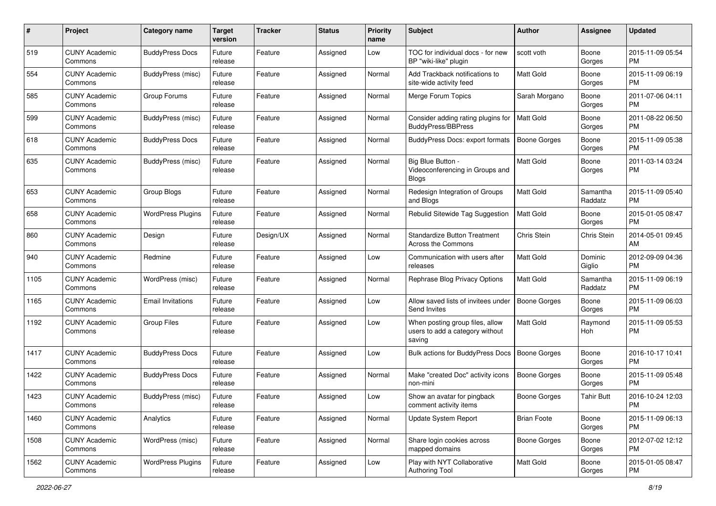| #    | Project                         | <b>Category name</b>     | <b>Target</b><br>version | <b>Tracker</b> | <b>Status</b> | <b>Priority</b><br>name | Subject                                                                      | Author              | <b>Assignee</b>     | <b>Updated</b>                |
|------|---------------------------------|--------------------------|--------------------------|----------------|---------------|-------------------------|------------------------------------------------------------------------------|---------------------|---------------------|-------------------------------|
| 519  | <b>CUNY Academic</b><br>Commons | <b>BuddyPress Docs</b>   | Future<br>release        | Feature        | Assigned      | Low                     | TOC for individual docs - for new<br>BP "wiki-like" plugin                   | scott voth          | Boone<br>Gorges     | 2015-11-09 05:54<br><b>PM</b> |
| 554  | <b>CUNY Academic</b><br>Commons | BuddyPress (misc)        | Future<br>release        | Feature        | Assigned      | Normal                  | Add Trackback notifications to<br>site-wide activity feed                    | Matt Gold           | Boone<br>Gorges     | 2015-11-09 06:19<br>PM        |
| 585  | <b>CUNY Academic</b><br>Commons | Group Forums             | Future<br>release        | Feature        | Assigned      | Normal                  | Merge Forum Topics                                                           | Sarah Morgano       | Boone<br>Gorges     | 2011-07-06 04:11<br><b>PM</b> |
| 599  | <b>CUNY Academic</b><br>Commons | BuddyPress (misc)        | Future<br>release        | Feature        | Assigned      | Normal                  | Consider adding rating plugins for<br><b>BuddyPress/BBPress</b>              | <b>Matt Gold</b>    | Boone<br>Gorges     | 2011-08-22 06:50<br>PM        |
| 618  | <b>CUNY Academic</b><br>Commons | <b>BuddyPress Docs</b>   | Future<br>release        | Feature        | Assigned      | Normal                  | <b>BuddyPress Docs: export formats</b>                                       | <b>Boone Gorges</b> | Boone<br>Gorges     | 2015-11-09 05:38<br><b>PM</b> |
| 635  | <b>CUNY Academic</b><br>Commons | BuddyPress (misc)        | Future<br>release        | Feature        | Assigned      | Normal                  | Big Blue Button -<br>Videoconferencing in Groups and<br>Blogs                | Matt Gold           | Boone<br>Gorges     | 2011-03-14 03:24<br>PM        |
| 653  | <b>CUNY Academic</b><br>Commons | Group Blogs              | Future<br>release        | Feature        | Assigned      | Normal                  | Redesign Integration of Groups<br>and Blogs                                  | Matt Gold           | Samantha<br>Raddatz | 2015-11-09 05:40<br><b>PM</b> |
| 658  | <b>CUNY Academic</b><br>Commons | <b>WordPress Plugins</b> | Future<br>release        | Feature        | Assigned      | Normal                  | Rebulid Sitewide Tag Suggestion                                              | <b>Matt Gold</b>    | Boone<br>Gorges     | 2015-01-05 08:47<br>PM        |
| 860  | <b>CUNY Academic</b><br>Commons | Design                   | Future<br>release        | Design/UX      | Assigned      | Normal                  | <b>Standardize Button Treatment</b><br>Across the Commons                    | Chris Stein         | Chris Stein         | 2014-05-01 09:45<br>AM        |
| 940  | <b>CUNY Academic</b><br>Commons | Redmine                  | Future<br>release        | Feature        | Assigned      | Low                     | Communication with users after<br>releases                                   | Matt Gold           | Dominic<br>Giglio   | 2012-09-09 04:36<br><b>PM</b> |
| 1105 | <b>CUNY Academic</b><br>Commons | WordPress (misc)         | Future<br>release        | Feature        | Assigned      | Normal                  | Rephrase Blog Privacy Options                                                | <b>Matt Gold</b>    | Samantha<br>Raddatz | 2015-11-09 06:19<br><b>PM</b> |
| 1165 | <b>CUNY Academic</b><br>Commons | <b>Email Invitations</b> | Future<br>release        | Feature        | Assigned      | Low                     | Allow saved lists of invitees under<br>Send Invites                          | <b>Boone Gorges</b> | Boone<br>Gorges     | 2015-11-09 06:03<br><b>PM</b> |
| 1192 | <b>CUNY Academic</b><br>Commons | <b>Group Files</b>       | Future<br>release        | Feature        | Assigned      | Low                     | When posting group files, allow<br>users to add a category without<br>saving | Matt Gold           | Raymond<br>Hoh      | 2015-11-09 05:53<br><b>PM</b> |
| 1417 | <b>CUNY Academic</b><br>Commons | <b>BuddyPress Docs</b>   | Future<br>release        | Feature        | Assigned      | Low                     | Bulk actions for BuddyPress Docs                                             | <b>Boone Gorges</b> | Boone<br>Gorges     | 2016-10-17 10:41<br><b>PM</b> |
| 1422 | <b>CUNY Academic</b><br>Commons | <b>BuddyPress Docs</b>   | Future<br>release        | Feature        | Assigned      | Normal                  | Make "created Doc" activity icons<br>non-mini                                | <b>Boone Gorges</b> | Boone<br>Gorges     | 2015-11-09 05:48<br><b>PM</b> |
| 1423 | <b>CUNY Academic</b><br>Commons | BuddyPress (misc)        | Future<br>release        | Feature        | Assigned      | Low                     | Show an avatar for pingback<br>comment activity items                        | <b>Boone Gorges</b> | Tahir Butt          | 2016-10-24 12:03<br>PM        |
| 1460 | <b>CUNY Academic</b><br>Commons | Analytics                | Future<br>release        | Feature        | Assigned      | Normal                  | Update System Report                                                         | <b>Brian Foote</b>  | Boone<br>Gorges     | 2015-11-09 06:13<br>PM        |
| 1508 | <b>CUNY Academic</b><br>Commons | WordPress (misc)         | Future<br>release        | Feature        | Assigned      | Normal                  | Share login cookies across<br>mapped domains                                 | Boone Gorges        | Boone<br>Gorges     | 2012-07-02 12:12<br>PM        |
| 1562 | <b>CUNY Academic</b><br>Commons | <b>WordPress Plugins</b> | Future<br>release        | Feature        | Assigned      | Low                     | Play with NYT Collaborative<br><b>Authoring Tool</b>                         | Matt Gold           | Boone<br>Gorges     | 2015-01-05 08:47<br><b>PM</b> |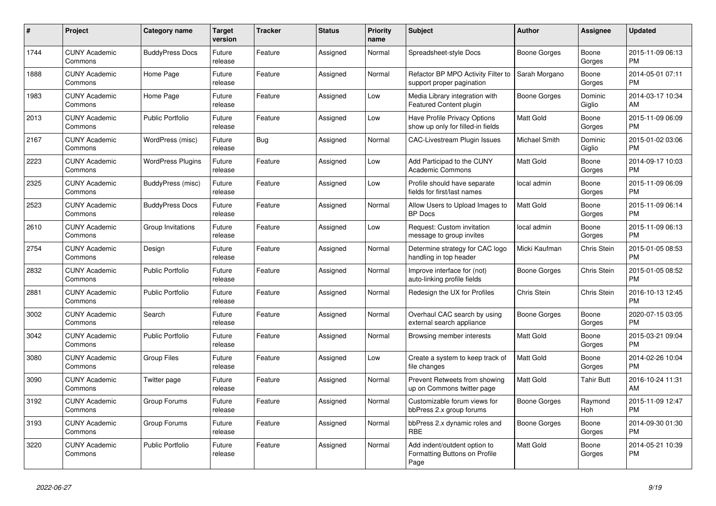| #    | Project                         | Category name            | <b>Target</b><br>version | <b>Tracker</b> | <b>Status</b> | <b>Priority</b><br>name | <b>Subject</b>                                                        | Author              | <b>Assignee</b>       | <b>Updated</b>                |
|------|---------------------------------|--------------------------|--------------------------|----------------|---------------|-------------------------|-----------------------------------------------------------------------|---------------------|-----------------------|-------------------------------|
| 1744 | <b>CUNY Academic</b><br>Commons | <b>BuddyPress Docs</b>   | Future<br>release        | Feature        | Assigned      | Normal                  | Spreadsheet-style Docs                                                | Boone Gorges        | Boone<br>Gorges       | 2015-11-09 06:13<br><b>PM</b> |
| 1888 | <b>CUNY Academic</b><br>Commons | Home Page                | Future<br>release        | Feature        | Assigned      | Normal                  | Refactor BP MPO Activity Filter to<br>support proper pagination       | Sarah Morgano       | Boone<br>Gorges       | 2014-05-01 07:11<br><b>PM</b> |
| 1983 | <b>CUNY Academic</b><br>Commons | Home Page                | Future<br>release        | Feature        | Assigned      | Low                     | Media Library integration with<br>Featured Content plugin             | Boone Gorges        | Dominic<br>Giglio     | 2014-03-17 10:34<br>AM        |
| 2013 | <b>CUNY Academic</b><br>Commons | <b>Public Portfolio</b>  | Future<br>release        | Feature        | Assigned      | Low                     | Have Profile Privacy Options<br>show up only for filled-in fields     | Matt Gold           | Boone<br>Gorges       | 2015-11-09 06:09<br><b>PM</b> |
| 2167 | <b>CUNY Academic</b><br>Commons | WordPress (misc)         | Future<br>release        | <b>Bug</b>     | Assigned      | Normal                  | <b>CAC-Livestream Plugin Issues</b>                                   | Michael Smith       | Dominic<br>Giglio     | 2015-01-02 03:06<br><b>PM</b> |
| 2223 | <b>CUNY Academic</b><br>Commons | <b>WordPress Plugins</b> | Future<br>release        | Feature        | Assigned      | Low                     | Add Participad to the CUNY<br>Academic Commons                        | Matt Gold           | Boone<br>Gorges       | 2014-09-17 10:03<br><b>PM</b> |
| 2325 | <b>CUNY Academic</b><br>Commons | BuddyPress (misc)        | Future<br>release        | Feature        | Assigned      | Low                     | Profile should have separate<br>fields for first/last names           | local admin         | Boone<br>Gorges       | 2015-11-09 06:09<br><b>PM</b> |
| 2523 | <b>CUNY Academic</b><br>Commons | <b>BuddyPress Docs</b>   | Future<br>release        | Feature        | Assigned      | Normal                  | Allow Users to Upload Images to<br><b>BP</b> Docs                     | Matt Gold           | Boone<br>Gorges       | 2015-11-09 06:14<br><b>PM</b> |
| 2610 | <b>CUNY Academic</b><br>Commons | Group Invitations        | Future<br>release        | Feature        | Assigned      | Low                     | Request: Custom invitation<br>message to group invites                | local admin         | Boone<br>Gorges       | 2015-11-09 06:13<br><b>PM</b> |
| 2754 | <b>CUNY Academic</b><br>Commons | Design                   | Future<br>release        | Feature        | Assigned      | Normal                  | Determine strategy for CAC logo<br>handling in top header             | Micki Kaufman       | Chris Stein           | 2015-01-05 08:53<br><b>PM</b> |
| 2832 | <b>CUNY Academic</b><br>Commons | <b>Public Portfolio</b>  | Future<br>release        | Feature        | Assigned      | Normal                  | Improve interface for (not)<br>auto-linking profile fields            | Boone Gorges        | Chris Stein           | 2015-01-05 08:52<br><b>PM</b> |
| 2881 | <b>CUNY Academic</b><br>Commons | <b>Public Portfolio</b>  | Future<br>release        | Feature        | Assigned      | Normal                  | Redesign the UX for Profiles                                          | Chris Stein         | Chris Stein           | 2016-10-13 12:45<br><b>PM</b> |
| 3002 | <b>CUNY Academic</b><br>Commons | Search                   | Future<br>release        | Feature        | Assigned      | Normal                  | Overhaul CAC search by using<br>external search appliance             | <b>Boone Gorges</b> | Boone<br>Gorges       | 2020-07-15 03:05<br><b>PM</b> |
| 3042 | <b>CUNY Academic</b><br>Commons | <b>Public Portfolio</b>  | Future<br>release        | Feature        | Assigned      | Normal                  | Browsing member interests                                             | Matt Gold           | Boone<br>Gorges       | 2015-03-21 09:04<br><b>PM</b> |
| 3080 | <b>CUNY Academic</b><br>Commons | <b>Group Files</b>       | Future<br>release        | Feature        | Assigned      | Low                     | Create a system to keep track of<br>file changes                      | <b>Matt Gold</b>    | Boone<br>Gorges       | 2014-02-26 10:04<br><b>PM</b> |
| 3090 | <b>CUNY Academic</b><br>Commons | Twitter page             | Future<br>release        | Feature        | Assigned      | Normal                  | Prevent Retweets from showing<br>up on Commons twitter page           | <b>Matt Gold</b>    | <b>Tahir Butt</b>     | 2016-10-24 11:31<br>AM        |
| 3192 | <b>CUNY Academic</b><br>Commons | Group Forums             | Future<br>release        | Feature        | Assigned      | Normal                  | Customizable forum views for<br>bbPress 2.x group forums              | Boone Gorges        | Raymond<br><b>Hoh</b> | 2015-11-09 12:47<br><b>PM</b> |
| 3193 | <b>CUNY Academic</b><br>Commons | Group Forums             | Future<br>release        | Feature        | Assigned      | Normal                  | bbPress 2.x dynamic roles and<br><b>RBE</b>                           | Boone Gorges        | Boone<br>Gorges       | 2014-09-30 01:30<br><b>PM</b> |
| 3220 | <b>CUNY Academic</b><br>Commons | <b>Public Portfolio</b>  | Future<br>release        | Feature        | Assigned      | Normal                  | Add indent/outdent option to<br>Formatting Buttons on Profile<br>Page | <b>Matt Gold</b>    | Boone<br>Gorges       | 2014-05-21 10:39<br><b>PM</b> |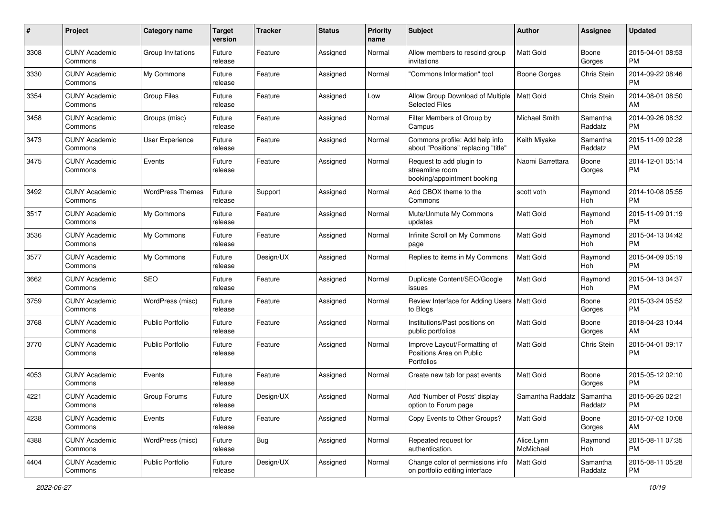| #    | Project                         | <b>Category name</b>    | <b>Target</b><br>version | <b>Tracker</b> | <b>Status</b> | <b>Priority</b><br>name | Subject                                                                    | Author                  | <b>Assignee</b>     | <b>Updated</b>                |
|------|---------------------------------|-------------------------|--------------------------|----------------|---------------|-------------------------|----------------------------------------------------------------------------|-------------------------|---------------------|-------------------------------|
| 3308 | <b>CUNY Academic</b><br>Commons | Group Invitations       | Future<br>release        | Feature        | Assigned      | Normal                  | Allow members to rescind group<br>invitations                              | <b>Matt Gold</b>        | Boone<br>Gorges     | 2015-04-01 08:53<br>PM        |
| 3330 | <b>CUNY Academic</b><br>Commons | My Commons              | Future<br>release        | Feature        | Assigned      | Normal                  | 'Commons Information" tool                                                 | <b>Boone Gorges</b>     | Chris Stein         | 2014-09-22 08:46<br><b>PM</b> |
| 3354 | <b>CUNY Academic</b><br>Commons | <b>Group Files</b>      | Future<br>release        | Feature        | Assigned      | Low                     | Allow Group Download of Multiple<br><b>Selected Files</b>                  | Matt Gold               | Chris Stein         | 2014-08-01 08:50<br>AM        |
| 3458 | <b>CUNY Academic</b><br>Commons | Groups (misc)           | Future<br>release        | Feature        | Assigned      | Normal                  | Filter Members of Group by<br>Campus                                       | <b>Michael Smith</b>    | Samantha<br>Raddatz | 2014-09-26 08:32<br><b>PM</b> |
| 3473 | <b>CUNY Academic</b><br>Commons | User Experience         | Future<br>release        | Feature        | Assigned      | Normal                  | Commons profile: Add help info<br>about "Positions" replacing "title"      | Keith Miyake            | Samantha<br>Raddatz | 2015-11-09 02:28<br><b>PM</b> |
| 3475 | <b>CUNY Academic</b><br>Commons | Events                  | Future<br>release        | Feature        | Assigned      | Normal                  | Request to add plugin to<br>streamline room<br>booking/appointment booking | Naomi Barrettara        | Boone<br>Gorges     | 2014-12-01 05:14<br>PM        |
| 3492 | <b>CUNY Academic</b><br>Commons | <b>WordPress Themes</b> | Future<br>release        | Support        | Assigned      | Normal                  | Add CBOX theme to the<br>Commons                                           | scott voth              | Raymond<br>Hoh      | 2014-10-08 05:55<br><b>PM</b> |
| 3517 | <b>CUNY Academic</b><br>Commons | My Commons              | Future<br>release        | Feature        | Assigned      | Normal                  | Mute/Unmute My Commons<br>updates                                          | <b>Matt Gold</b>        | Raymond<br>Hoh      | 2015-11-09 01:19<br><b>PM</b> |
| 3536 | <b>CUNY Academic</b><br>Commons | My Commons              | Future<br>release        | Feature        | Assigned      | Normal                  | Infinite Scroll on My Commons<br>page                                      | <b>Matt Gold</b>        | Raymond<br>Hoh      | 2015-04-13 04:42<br>PM        |
| 3577 | <b>CUNY Academic</b><br>Commons | My Commons              | Future<br>release        | Design/UX      | Assigned      | Normal                  | Replies to items in My Commons                                             | <b>Matt Gold</b>        | Raymond<br>Hoh      | 2015-04-09 05:19<br><b>PM</b> |
| 3662 | <b>CUNY Academic</b><br>Commons | <b>SEO</b>              | Future<br>release        | Feature        | Assigned      | Normal                  | Duplicate Content/SEO/Google<br>issues                                     | <b>Matt Gold</b>        | Raymond<br>Hoh      | 2015-04-13 04:37<br>PM        |
| 3759 | <b>CUNY Academic</b><br>Commons | WordPress (misc)        | Future<br>release        | Feature        | Assigned      | Normal                  | Review Interface for Adding Users   Matt Gold<br>to Blogs                  |                         | Boone<br>Gorges     | 2015-03-24 05:52<br><b>PM</b> |
| 3768 | <b>CUNY Academic</b><br>Commons | <b>Public Portfolio</b> | Future<br>release        | Feature        | Assigned      | Normal                  | Institutions/Past positions on<br>public portfolios                        | Matt Gold               | Boone<br>Gorges     | 2018-04-23 10:44<br>AM        |
| 3770 | <b>CUNY Academic</b><br>Commons | <b>Public Portfolio</b> | Future<br>release        | Feature        | Assigned      | Normal                  | Improve Layout/Formatting of<br>Positions Area on Public<br>Portfolios     | <b>Matt Gold</b>        | Chris Stein         | 2015-04-01 09:17<br><b>PM</b> |
| 4053 | <b>CUNY Academic</b><br>Commons | Events                  | Future<br>release        | Feature        | Assigned      | Normal                  | Create new tab for past events                                             | <b>Matt Gold</b>        | Boone<br>Gorges     | 2015-05-12 02:10<br><b>PM</b> |
| 4221 | <b>CUNY Academic</b><br>Commons | Group Forums            | Future<br>release        | Design/UX      | Assigned      | Normal                  | Add 'Number of Posts' display<br>option to Forum page                      | Samantha Raddatz        | Samantha<br>Raddatz | 2015-06-26 02:21<br>PM        |
| 4238 | <b>CUNY Academic</b><br>Commons | Events                  | Future<br>release        | Feature        | Assigned      | Normal                  | Copy Events to Other Groups?                                               | Matt Gold               | Boone<br>Gorges     | 2015-07-02 10:08<br>AM        |
| 4388 | <b>CUNY Academic</b><br>Commons | WordPress (misc)        | Future<br>release        | <b>Bug</b>     | Assigned      | Normal                  | Repeated request for<br>authentication.                                    | Alice.Lynn<br>McMichael | Raymond<br>Hoh      | 2015-08-11 07:35<br><b>PM</b> |
| 4404 | <b>CUNY Academic</b><br>Commons | Public Portfolio        | Future<br>release        | Design/UX      | Assigned      | Normal                  | Change color of permissions info<br>on portfolio editing interface         | Matt Gold               | Samantha<br>Raddatz | 2015-08-11 05:28<br><b>PM</b> |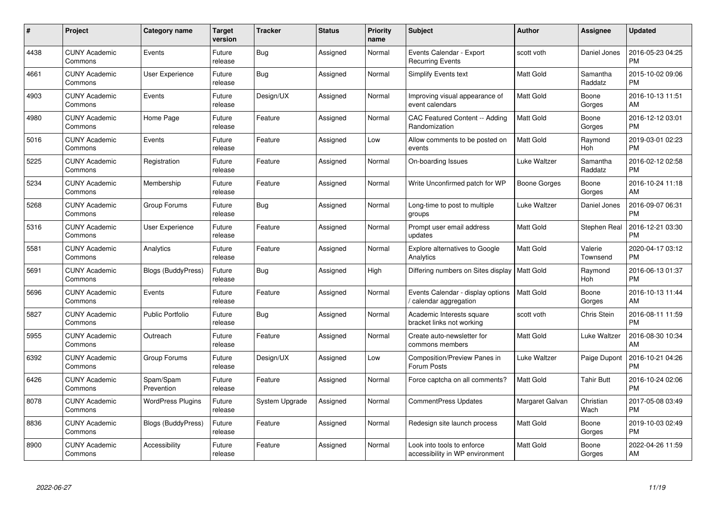| $\#$ | Project                         | <b>Category name</b>     | <b>Target</b><br>version | <b>Tracker</b> | <b>Status</b> | <b>Priority</b><br>name | <b>Subject</b>                                                | Author           | <b>Assignee</b>       | <b>Updated</b>                |
|------|---------------------------------|--------------------------|--------------------------|----------------|---------------|-------------------------|---------------------------------------------------------------|------------------|-----------------------|-------------------------------|
| 4438 | <b>CUNY Academic</b><br>Commons | Events                   | Future<br>release        | <b>Bug</b>     | Assigned      | Normal                  | Events Calendar - Export<br><b>Recurring Events</b>           | scott voth       | Daniel Jones          | 2016-05-23 04:25<br><b>PM</b> |
| 4661 | <b>CUNY Academic</b><br>Commons | <b>User Experience</b>   | Future<br>release        | Bug            | Assigned      | Normal                  | <b>Simplify Events text</b>                                   | <b>Matt Gold</b> | Samantha<br>Raddatz   | 2015-10-02 09:06<br><b>PM</b> |
| 4903 | <b>CUNY Academic</b><br>Commons | Events                   | Future<br>release        | Design/UX      | Assigned      | Normal                  | Improving visual appearance of<br>event calendars             | <b>Matt Gold</b> | Boone<br>Gorges       | 2016-10-13 11:51<br>AM        |
| 4980 | <b>CUNY Academic</b><br>Commons | Home Page                | Future<br>release        | Feature        | Assigned      | Normal                  | CAC Featured Content -- Adding<br>Randomization               | Matt Gold        | Boone<br>Gorges       | 2016-12-12 03:01<br><b>PM</b> |
| 5016 | <b>CUNY Academic</b><br>Commons | Events                   | Future<br>release        | Feature        | Assigned      | Low                     | Allow comments to be posted on<br>events                      | <b>Matt Gold</b> | Raymond<br><b>Hoh</b> | 2019-03-01 02:23<br><b>PM</b> |
| 5225 | <b>CUNY Academic</b><br>Commons | Registration             | Future<br>release        | Feature        | Assigned      | Normal                  | On-boarding Issues                                            | Luke Waltzer     | Samantha<br>Raddatz   | 2016-02-12 02:58<br><b>PM</b> |
| 5234 | <b>CUNY Academic</b><br>Commons | Membership               | Future<br>release        | Feature        | Assigned      | Normal                  | Write Unconfirmed patch for WP                                | Boone Gorges     | Boone<br>Gorges       | 2016-10-24 11:18<br>AM        |
| 5268 | <b>CUNY Academic</b><br>Commons | Group Forums             | Future<br>release        | Bug            | Assigned      | Normal                  | Long-time to post to multiple<br>groups                       | Luke Waltzer     | Daniel Jones          | 2016-09-07 06:31<br><b>PM</b> |
| 5316 | <b>CUNY Academic</b><br>Commons | <b>User Experience</b>   | Future<br>release        | Feature        | Assigned      | Normal                  | Prompt user email address<br>updates                          | <b>Matt Gold</b> | Stephen Real          | 2016-12-21 03:30<br><b>PM</b> |
| 5581 | <b>CUNY Academic</b><br>Commons | Analytics                | Future<br>release        | Feature        | Assigned      | Normal                  | <b>Explore alternatives to Google</b><br>Analytics            | Matt Gold        | Valerie<br>Townsend   | 2020-04-17 03:12<br><b>PM</b> |
| 5691 | <b>CUNY Academic</b><br>Commons | Blogs (BuddyPress)       | Future<br>release        | Bug            | Assigned      | High                    | Differing numbers on Sites display                            | <b>Matt Gold</b> | Raymond<br>Hoh        | 2016-06-13 01:37<br><b>PM</b> |
| 5696 | <b>CUNY Academic</b><br>Commons | Events                   | Future<br>release        | Feature        | Assigned      | Normal                  | Events Calendar - display options<br>calendar aggregation     | <b>Matt Gold</b> | Boone<br>Gorges       | 2016-10-13 11:44<br>AM        |
| 5827 | <b>CUNY Academic</b><br>Commons | <b>Public Portfolio</b>  | Future<br>release        | <b>Bug</b>     | Assigned      | Normal                  | Academic Interests square<br>bracket links not working        | scott voth       | Chris Stein           | 2016-08-11 11:59<br><b>PM</b> |
| 5955 | <b>CUNY Academic</b><br>Commons | Outreach                 | Future<br>release        | Feature        | Assigned      | Normal                  | Create auto-newsletter for<br>commons members                 | <b>Matt Gold</b> | Luke Waltzer          | 2016-08-30 10:34<br>AM        |
| 6392 | <b>CUNY Academic</b><br>Commons | Group Forums             | Future<br>release        | Design/UX      | Assigned      | Low                     | Composition/Preview Panes in<br>Forum Posts                   | Luke Waltzer     | Paige Dupont          | 2016-10-21 04:26<br><b>PM</b> |
| 6426 | <b>CUNY Academic</b><br>Commons | Spam/Spam<br>Prevention  | Future<br>release        | Feature        | Assigned      | Normal                  | Force captcha on all comments?                                | <b>Matt Gold</b> | <b>Tahir Butt</b>     | 2016-10-24 02:06<br><b>PM</b> |
| 8078 | <b>CUNY Academic</b><br>Commons | <b>WordPress Plugins</b> | Future<br>release        | System Upgrade | Assigned      | Normal                  | <b>CommentPress Updates</b>                                   | Margaret Galvan  | Christian<br>Wach     | 2017-05-08 03:49<br><b>PM</b> |
| 8836 | <b>CUNY Academic</b><br>Commons | Blogs (BuddyPress)       | Future<br>release        | Feature        | Assigned      | Normal                  | Redesign site launch process                                  | <b>Matt Gold</b> | Boone<br>Gorges       | 2019-10-03 02:49<br><b>PM</b> |
| 8900 | <b>CUNY Academic</b><br>Commons | Accessibility            | Future<br>release        | Feature        | Assigned      | Normal                  | Look into tools to enforce<br>accessibility in WP environment | <b>Matt Gold</b> | Boone<br>Gorges       | 2022-04-26 11:59<br>AM        |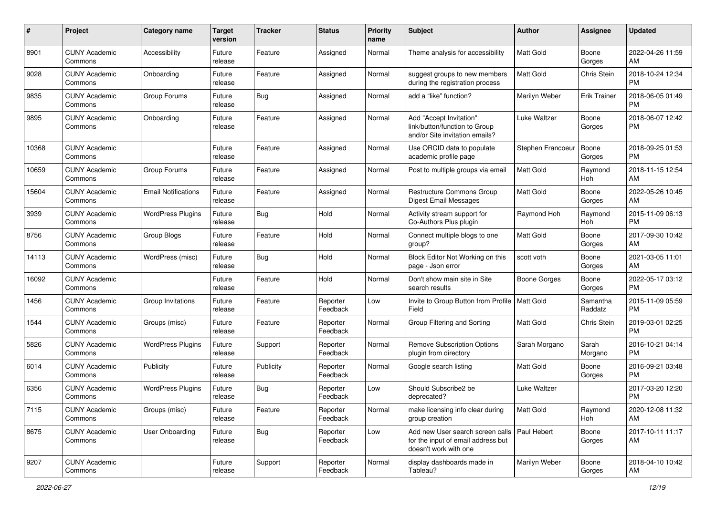| #     | Project                         | <b>Category name</b>       | <b>Target</b><br>version | <b>Tracker</b> | <b>Status</b>        | <b>Priority</b><br>name | <b>Subject</b>                                                                                  | <b>Author</b>       | <b>Assignee</b>     | <b>Updated</b>                |
|-------|---------------------------------|----------------------------|--------------------------|----------------|----------------------|-------------------------|-------------------------------------------------------------------------------------------------|---------------------|---------------------|-------------------------------|
| 8901  | <b>CUNY Academic</b><br>Commons | Accessibility              | Future<br>release        | Feature        | Assigned             | Normal                  | Theme analysis for accessibility                                                                | <b>Matt Gold</b>    | Boone<br>Gorges     | 2022-04-26 11:59<br>AM        |
| 9028  | <b>CUNY Academic</b><br>Commons | Onboarding                 | Future<br>release        | Feature        | Assigned             | Normal                  | suggest groups to new members<br>during the registration process                                | Matt Gold           | Chris Stein         | 2018-10-24 12:34<br><b>PM</b> |
| 9835  | <b>CUNY Academic</b><br>Commons | Group Forums               | Future<br>release        | Bug            | Assigned             | Normal                  | add a "like" function?                                                                          | Marilyn Weber       | <b>Erik Trainer</b> | 2018-06-05 01:49<br><b>PM</b> |
| 9895  | <b>CUNY Academic</b><br>Commons | Onboarding                 | Future<br>release        | Feature        | Assigned             | Normal                  | Add "Accept Invitation"<br>link/button/function to Group<br>and/or Site invitation emails?      | Luke Waltzer        | Boone<br>Gorges     | 2018-06-07 12:42<br><b>PM</b> |
| 10368 | <b>CUNY Academic</b><br>Commons |                            | Future<br>release        | Feature        | Assigned             | Normal                  | Use ORCID data to populate<br>academic profile page                                             | Stephen Francoeur   | Boone<br>Gorges     | 2018-09-25 01:53<br><b>PM</b> |
| 10659 | <b>CUNY Academic</b><br>Commons | Group Forums               | Future<br>release        | Feature        | Assigned             | Normal                  | Post to multiple groups via email                                                               | <b>Matt Gold</b>    | Raymond<br>Hoh      | 2018-11-15 12:54<br>AM        |
| 15604 | <b>CUNY Academic</b><br>Commons | <b>Email Notifications</b> | Future<br>release        | Feature        | Assigned             | Normal                  | <b>Restructure Commons Group</b><br>Digest Email Messages                                       | <b>Matt Gold</b>    | Boone<br>Gorges     | 2022-05-26 10:45<br>AM        |
| 3939  | <b>CUNY Academic</b><br>Commons | <b>WordPress Plugins</b>   | Future<br>release        | Bug            | Hold                 | Normal                  | Activity stream support for<br>Co-Authors Plus plugin                                           | Raymond Hoh         | Raymond<br>Hoh      | 2015-11-09 06:13<br><b>PM</b> |
| 8756  | <b>CUNY Academic</b><br>Commons | Group Blogs                | Future<br>release        | Feature        | Hold                 | Normal                  | Connect multiple blogs to one<br>group?                                                         | Matt Gold           | Boone<br>Gorges     | 2017-09-30 10:42<br>AM        |
| 14113 | <b>CUNY Academic</b><br>Commons | WordPress (misc)           | Future<br>release        | Bug            | Hold                 | Normal                  | Block Editor Not Working on this<br>page - Json error                                           | scott voth          | Boone<br>Gorges     | 2021-03-05 11:01<br>AM        |
| 16092 | <b>CUNY Academic</b><br>Commons |                            | Future<br>release        | Feature        | Hold                 | Normal                  | Don't show main site in Site<br>search results                                                  | <b>Boone Gorges</b> | Boone<br>Gorges     | 2022-05-17 03:12<br><b>PM</b> |
| 1456  | <b>CUNY Academic</b><br>Commons | Group Invitations          | Future<br>release        | Feature        | Reporter<br>Feedback | Low                     | Invite to Group Button from Profile<br>Field                                                    | Matt Gold           | Samantha<br>Raddatz | 2015-11-09 05:59<br><b>PM</b> |
| 1544  | <b>CUNY Academic</b><br>Commons | Groups (misc)              | Future<br>release        | Feature        | Reporter<br>Feedback | Normal                  | Group Filtering and Sorting                                                                     | <b>Matt Gold</b>    | Chris Stein         | 2019-03-01 02:25<br><b>PM</b> |
| 5826  | <b>CUNY Academic</b><br>Commons | <b>WordPress Plugins</b>   | Future<br>release        | Support        | Reporter<br>Feedback | Normal                  | <b>Remove Subscription Options</b><br>plugin from directory                                     | Sarah Morgano       | Sarah<br>Morgano    | 2016-10-21 04:14<br><b>PM</b> |
| 6014  | <b>CUNY Academic</b><br>Commons | Publicity                  | Future<br>release        | Publicity      | Reporter<br>Feedback | Normal                  | Google search listing                                                                           | <b>Matt Gold</b>    | Boone<br>Gorges     | 2016-09-21 03:48<br><b>PM</b> |
| 6356  | <b>CUNY Academic</b><br>Commons | <b>WordPress Plugins</b>   | Future<br>release        | <b>Bug</b>     | Reporter<br>Feedback | Low                     | Should Subscribe2 be<br>deprecated?                                                             | Luke Waltzer        |                     | 2017-03-20 12:20<br><b>PM</b> |
| 7115  | <b>CUNY Academic</b><br>Commons | Groups (misc)              | Future<br>release        | Feature        | Reporter<br>Feedback | Normal                  | make licensing info clear during<br>group creation                                              | Matt Gold           | Raymond<br>Hoh      | 2020-12-08 11:32<br>AM        |
| 8675  | <b>CUNY Academic</b><br>Commons | User Onboarding            | Future<br>release        | <b>Bug</b>     | Reporter<br>Feedback | Low                     | Add new User search screen calls<br>for the input of email address but<br>doesn't work with one | Paul Hebert         | Boone<br>Gorges     | 2017-10-11 11:17<br>AM        |
| 9207  | <b>CUNY Academic</b><br>Commons |                            | Future<br>release        | Support        | Reporter<br>Feedback | Normal                  | display dashboards made in<br>Tableau?                                                          | Marilyn Weber       | Boone<br>Gorges     | 2018-04-10 10:42<br>AM        |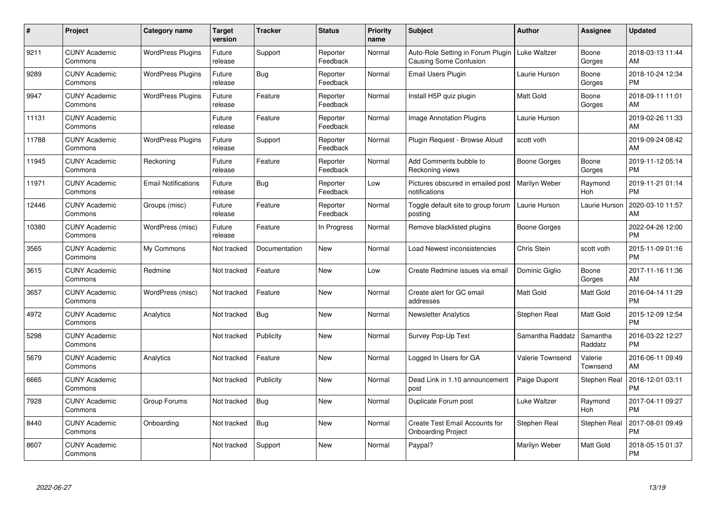| #     | Project                         | <b>Category name</b>       | Target<br>version | <b>Tracker</b> | <b>Status</b>        | <b>Priority</b><br>name | <b>Subject</b>                                                     | <b>Author</b>       | <b>Assignee</b>     | <b>Updated</b>                |
|-------|---------------------------------|----------------------------|-------------------|----------------|----------------------|-------------------------|--------------------------------------------------------------------|---------------------|---------------------|-------------------------------|
| 9211  | <b>CUNY Academic</b><br>Commons | <b>WordPress Plugins</b>   | Future<br>release | Support        | Reporter<br>Feedback | Normal                  | Auto-Role Setting in Forum Plugin<br><b>Causing Some Confusion</b> | <b>Luke Waltzer</b> | Boone<br>Gorges     | 2018-03-13 11:44<br>AM        |
| 9289  | <b>CUNY Academic</b><br>Commons | <b>WordPress Plugins</b>   | Future<br>release | Bug            | Reporter<br>Feedback | Normal                  | <b>Email Users Plugin</b>                                          | Laurie Hurson       | Boone<br>Gorges     | 2018-10-24 12:34<br><b>PM</b> |
| 9947  | <b>CUNY Academic</b><br>Commons | <b>WordPress Plugins</b>   | Future<br>release | Feature        | Reporter<br>Feedback | Normal                  | Install H5P quiz plugin                                            | <b>Matt Gold</b>    | Boone<br>Gorges     | 2018-09-11 11:01<br>AM        |
| 11131 | <b>CUNY Academic</b><br>Commons |                            | Future<br>release | Feature        | Reporter<br>Feedback | Normal                  | <b>Image Annotation Plugins</b>                                    | Laurie Hurson       |                     | 2019-02-26 11:33<br>AM        |
| 11788 | <b>CUNY Academic</b><br>Commons | <b>WordPress Plugins</b>   | Future<br>release | Support        | Reporter<br>Feedback | Normal                  | Plugin Request - Browse Aloud                                      | scott voth          |                     | 2019-09-24 08:42<br>AM        |
| 11945 | <b>CUNY Academic</b><br>Commons | Reckoning                  | Future<br>release | Feature        | Reporter<br>Feedback | Normal                  | Add Comments bubble to<br>Reckoning views                          | Boone Gorges        | Boone<br>Gorges     | 2019-11-12 05:14<br><b>PM</b> |
| 11971 | <b>CUNY Academic</b><br>Commons | <b>Email Notifications</b> | Future<br>release | Bug            | Reporter<br>Feedback | Low                     | Pictures obscured in emailed post<br>notifications                 | Marilyn Weber       | Raymond<br>Hoh      | 2019-11-21 01:14<br><b>PM</b> |
| 12446 | <b>CUNY Academic</b><br>Commons | Groups (misc)              | Future<br>release | Feature        | Reporter<br>Feedback | Normal                  | Toggle default site to group forum<br>posting                      | Laurie Hurson       | Laurie Hurson       | 2020-03-10 11:57<br>AM        |
| 10380 | <b>CUNY Academic</b><br>Commons | WordPress (misc)           | Future<br>release | Feature        | In Progress          | Normal                  | Remove blacklisted plugins                                         | Boone Gorges        |                     | 2022-04-26 12:00<br><b>PM</b> |
| 3565  | <b>CUNY Academic</b><br>Commons | My Commons                 | Not tracked       | Documentation  | <b>New</b>           | Normal                  | Load Newest inconsistencies                                        | Chris Stein         | scott voth          | 2015-11-09 01:16<br><b>PM</b> |
| 3615  | <b>CUNY Academic</b><br>Commons | Redmine                    | Not tracked       | Feature        | <b>New</b>           | Low                     | Create Redmine issues via email                                    | Dominic Giglio      | Boone<br>Gorges     | 2017-11-16 11:36<br>AM        |
| 3657  | <b>CUNY Academic</b><br>Commons | WordPress (misc)           | Not tracked       | Feature        | <b>New</b>           | Normal                  | Create alert for GC email<br>addresses                             | Matt Gold           | Matt Gold           | 2016-04-14 11:29<br><b>PM</b> |
| 4972  | <b>CUNY Academic</b><br>Commons | Analytics                  | Not tracked       | <b>Bug</b>     | New                  | Normal                  | <b>Newsletter Analytics</b>                                        | Stephen Real        | Matt Gold           | 2015-12-09 12:54<br><b>PM</b> |
| 5298  | <b>CUNY Academic</b><br>Commons |                            | Not tracked       | Publicity      | <b>New</b>           | Normal                  | Survey Pop-Up Text                                                 | Samantha Raddatz    | Samantha<br>Raddatz | 2016-03-22 12:27<br><b>PM</b> |
| 5679  | <b>CUNY Academic</b><br>Commons | Analytics                  | Not tracked       | Feature        | <b>New</b>           | Normal                  | Logged In Users for GA                                             | Valerie Townsend    | Valerie<br>Townsend | 2016-06-11 09:49<br>AM        |
| 6665  | <b>CUNY Academic</b><br>Commons |                            | Not tracked       | Publicity      | <b>New</b>           | Normal                  | Dead Link in 1.10 announcement<br>post                             | Paige Dupont        | Stephen Real        | 2016-12-01 03:11<br><b>PM</b> |
| 7928  | <b>CUNY Academic</b><br>Commons | Group Forums               | Not tracked       | Bug            | <b>New</b>           | Normal                  | Duplicate Forum post                                               | Luke Waltzer        | Raymond<br>Hoh      | 2017-04-11 09:27<br><b>PM</b> |
| 8440  | <b>CUNY Academic</b><br>Commons | Onboarding                 | Not tracked       | Bug            | <b>New</b>           | Normal                  | Create Test Email Accounts for<br><b>Onboarding Project</b>        | Stephen Real        | Stephen Real        | 2017-08-01 09:49<br><b>PM</b> |
| 8607  | <b>CUNY Academic</b><br>Commons |                            | Not tracked       | Support        | <b>New</b>           | Normal                  | Paypal?                                                            | Marilyn Weber       | Matt Gold           | 2018-05-15 01:37<br>PM        |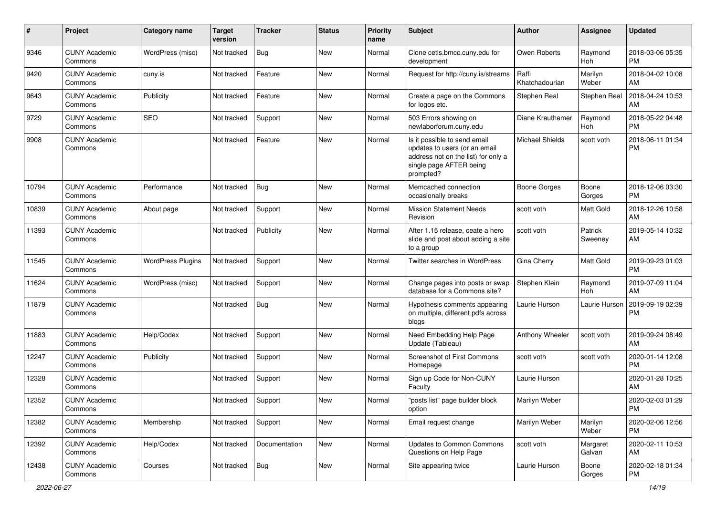| #     | Project                         | <b>Category name</b>     | Target<br>version | Tracker       | <b>Status</b> | <b>Priority</b><br>name | <b>Subject</b>                                                                                                                               | <b>Author</b>           | <b>Assignee</b>    | <b>Updated</b>                |
|-------|---------------------------------|--------------------------|-------------------|---------------|---------------|-------------------------|----------------------------------------------------------------------------------------------------------------------------------------------|-------------------------|--------------------|-------------------------------|
| 9346  | <b>CUNY Academic</b><br>Commons | WordPress (misc)         | Not tracked       | <b>Bug</b>    | <b>New</b>    | Normal                  | Clone cetls.bmcc.cuny.edu for<br>development                                                                                                 | Owen Roberts            | Raymond<br>Hoh     | 2018-03-06 05:35<br><b>PM</b> |
| 9420  | <b>CUNY Academic</b><br>Commons | cuny.is                  | Not tracked       | Feature       | New           | Normal                  | Request for http://cuny.is/streams                                                                                                           | Raffi<br>Khatchadourian | Marilyn<br>Weber   | 2018-04-02 10:08<br>AM        |
| 9643  | <b>CUNY Academic</b><br>Commons | Publicity                | Not tracked       | Feature       | New           | Normal                  | Create a page on the Commons<br>for logos etc.                                                                                               | Stephen Real            | Stephen Real       | 2018-04-24 10:53<br>AM        |
| 9729  | <b>CUNY Academic</b><br>Commons | <b>SEO</b>               | Not tracked       | Support       | New           | Normal                  | 503 Errors showing on<br>newlaborforum.cuny.edu                                                                                              | Diane Krauthamer        | Raymond<br>Hoh     | 2018-05-22 04:48<br><b>PM</b> |
| 9908  | <b>CUNY Academic</b><br>Commons |                          | Not tracked       | Feature       | <b>New</b>    | Normal                  | Is it possible to send email<br>updates to users (or an email<br>address not on the list) for only a<br>single page AFTER being<br>prompted? | <b>Michael Shields</b>  | scott voth         | 2018-06-11 01:34<br><b>PM</b> |
| 10794 | <b>CUNY Academic</b><br>Commons | Performance              | Not tracked       | Bug           | New           | Normal                  | Memcached connection<br>occasionally breaks                                                                                                  | <b>Boone Gorges</b>     | Boone<br>Gorges    | 2018-12-06 03:30<br><b>PM</b> |
| 10839 | <b>CUNY Academic</b><br>Commons | About page               | Not tracked       | Support       | New           | Normal                  | <b>Mission Statement Needs</b><br>Revision                                                                                                   | scott voth              | Matt Gold          | 2018-12-26 10:58<br>AM        |
| 11393 | <b>CUNY Academic</b><br>Commons |                          | Not tracked       | Publicity     | <b>New</b>    | Normal                  | After 1.15 release, ceate a hero<br>slide and post about adding a site<br>to a group                                                         | scott voth              | Patrick<br>Sweeney | 2019-05-14 10:32<br>AM        |
| 11545 | <b>CUNY Academic</b><br>Commons | <b>WordPress Plugins</b> | Not tracked       | Support       | <b>New</b>    | Normal                  | Twitter searches in WordPress                                                                                                                | Gina Cherry             | <b>Matt Gold</b>   | 2019-09-23 01:03<br><b>PM</b> |
| 11624 | <b>CUNY Academic</b><br>Commons | WordPress (misc)         | Not tracked       | Support       | <b>New</b>    | Normal                  | Change pages into posts or swap<br>database for a Commons site?                                                                              | Stephen Klein           | Raymond<br>Hoh     | 2019-07-09 11:04<br>AM        |
| 11879 | <b>CUNY Academic</b><br>Commons |                          | Not tracked       | <b>Bug</b>    | New           | Normal                  | Hypothesis comments appearing<br>on multiple, different pdfs across<br>blogs                                                                 | Laurie Hurson           | Laurie Hurson      | 2019-09-19 02:39<br><b>PM</b> |
| 11883 | <b>CUNY Academic</b><br>Commons | Help/Codex               | Not tracked       | Support       | New           | Normal                  | Need Embedding Help Page<br>Update (Tableau)                                                                                                 | Anthony Wheeler         | scott voth         | 2019-09-24 08:49<br>AM        |
| 12247 | <b>CUNY Academic</b><br>Commons | Publicity                | Not tracked       | Support       | <b>New</b>    | Normal                  | Screenshot of First Commons<br>Homepage                                                                                                      | scott voth              | scott voth         | 2020-01-14 12:08<br><b>PM</b> |
| 12328 | <b>CUNY Academic</b><br>Commons |                          | Not tracked       | Support       | <b>New</b>    | Normal                  | Sign up Code for Non-CUNY<br>Faculty                                                                                                         | Laurie Hurson           |                    | 2020-01-28 10:25<br>AM        |
| 12352 | <b>CUNY Academic</b><br>Commons |                          | Not tracked       | Support       | New           | Normal                  | "posts list" page builder block<br>option                                                                                                    | Marilyn Weber           |                    | 2020-02-03 01:29<br>PM        |
| 12382 | <b>CUNY Academic</b><br>Commons | Membership               | Not tracked       | Support       | New           | Normal                  | Email request change                                                                                                                         | Marilyn Weber           | Marilyn<br>Weber   | 2020-02-06 12:56<br><b>PM</b> |
| 12392 | <b>CUNY Academic</b><br>Commons | Help/Codex               | Not tracked       | Documentation | New           | Normal                  | Updates to Common Commons<br>Questions on Help Page                                                                                          | scott voth              | Margaret<br>Galvan | 2020-02-11 10:53<br>AM        |
| 12438 | <b>CUNY Academic</b><br>Commons | Courses                  | Not tracked       | Bug           | New           | Normal                  | Site appearing twice                                                                                                                         | Laurie Hurson           | Boone<br>Gorges    | 2020-02-18 01:34<br>PM        |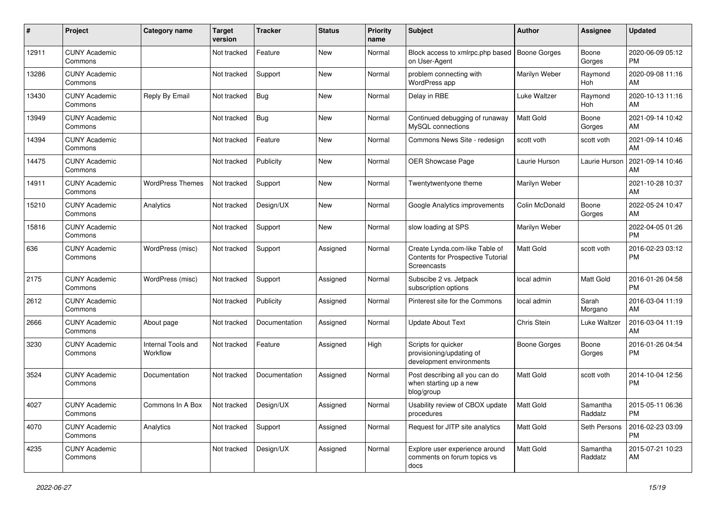| #     | Project                         | <b>Category name</b>           | Target<br>version     | <b>Tracker</b> | <b>Status</b> | <b>Priority</b><br>name | <b>Subject</b>                                                                     | <b>Author</b>       | Assignee            | <b>Updated</b>                |
|-------|---------------------------------|--------------------------------|-----------------------|----------------|---------------|-------------------------|------------------------------------------------------------------------------------|---------------------|---------------------|-------------------------------|
| 12911 | <b>CUNY Academic</b><br>Commons |                                | Not tracked           | Feature        | New           | Normal                  | Block access to xmlrpc.php based<br>on User-Agent                                  | <b>Boone Gorges</b> | Boone<br>Gorges     | 2020-06-09 05:12<br><b>PM</b> |
| 13286 | <b>CUNY Academic</b><br>Commons |                                | Not tracked           | Support        | New           | Normal                  | problem connecting with<br>WordPress app                                           | Marilyn Weber       | Raymond<br>Hoh      | 2020-09-08 11:16<br>AM        |
| 13430 | <b>CUNY Academic</b><br>Commons | Reply By Email                 | Not tracked           | <b>Bug</b>     | New           | Normal                  | Delay in RBE                                                                       | Luke Waltzer        | Raymond<br>Hoh      | 2020-10-13 11:16<br>AM        |
| 13949 | <b>CUNY Academic</b><br>Commons |                                | Not tracked           | <b>Bug</b>     | <b>New</b>    | Normal                  | Continued debugging of runaway<br>MySQL connections                                | <b>Matt Gold</b>    | Boone<br>Gorges     | 2021-09-14 10:42<br>AM        |
| 14394 | <b>CUNY Academic</b><br>Commons |                                | Not tracked           | Feature        | New           | Normal                  | Commons News Site - redesign                                                       | scott voth          | scott voth          | 2021-09-14 10:46<br>AM        |
| 14475 | <b>CUNY Academic</b><br>Commons |                                | Not tracked           | Publicity      | New           | Normal                  | OER Showcase Page                                                                  | Laurie Hurson       | Laurie Hurson       | 2021-09-14 10:46<br>AM        |
| 14911 | <b>CUNY Academic</b><br>Commons | <b>WordPress Themes</b>        | Not tracked           | Support        | New           | Normal                  | Twentytwentyone theme                                                              | Marilyn Weber       |                     | 2021-10-28 10:37<br>AM        |
| 15210 | <b>CUNY Academic</b><br>Commons | Analytics                      | Not tracked           | Design/UX      | New           | Normal                  | Google Analytics improvements                                                      | Colin McDonald      | Boone<br>Gorges     | 2022-05-24 10:47<br>AM        |
| 15816 | <b>CUNY Academic</b><br>Commons |                                | Not tracked           | Support        | New           | Normal                  | slow loading at SPS                                                                | Marilyn Weber       |                     | 2022-04-05 01:26<br><b>PM</b> |
| 636   | <b>CUNY Academic</b><br>Commons | WordPress (misc)               | Not tracked           | Support        | Assigned      | Normal                  | Create Lynda.com-like Table of<br>Contents for Prospective Tutorial<br>Screencasts | Matt Gold           | scott voth          | 2016-02-23 03:12<br><b>PM</b> |
| 2175  | <b>CUNY Academic</b><br>Commons | WordPress (misc)               | Not tracked           | Support        | Assigned      | Normal                  | Subscibe 2 vs. Jetpack<br>subscription options                                     | local admin         | Matt Gold           | 2016-01-26 04:58<br><b>PM</b> |
| 2612  | <b>CUNY Academic</b><br>Commons |                                | Not tracked           | Publicity      | Assigned      | Normal                  | Pinterest site for the Commons                                                     | local admin         | Sarah<br>Morgano    | 2016-03-04 11:19<br>AM        |
| 2666  | <b>CUNY Academic</b><br>Commons | About page                     | Not tracked           | Documentation  | Assigned      | Normal                  | <b>Update About Text</b>                                                           | Chris Stein         | Luke Waltzer        | 2016-03-04 11:19<br>AM        |
| 3230  | <b>CUNY Academic</b><br>Commons | Internal Tools and<br>Workflow | Not tracked           | Feature        | Assigned      | High                    | Scripts for quicker<br>provisioning/updating of<br>development environments        | Boone Gorges        | Boone<br>Gorges     | 2016-01-26 04:54<br><b>PM</b> |
| 3524  | <b>CUNY Academic</b><br>Commons | Documentation                  | Not tracked           | Documentation  | Assigned      | Normal                  | Post describing all you can do<br>when starting up a new<br>blog/group             | Matt Gold           | scott voth          | 2014-10-04 12:56<br><b>PM</b> |
| 4027  | <b>CUNY Academic</b><br>Commons | Commons In A Box               | Not tracked Design/UX |                | Assigned      | Normal                  | Usability review of CBOX update<br>procedures                                      | Matt Gold           | Samantha<br>Raddatz | 2015-05-11 06:36<br><b>PM</b> |
| 4070  | <b>CUNY Academic</b><br>Commons | Analytics                      | Not tracked           | Support        | Assigned      | Normal                  | Request for JITP site analytics                                                    | Matt Gold           | Seth Persons        | 2016-02-23 03:09<br>PM        |
| 4235  | <b>CUNY Academic</b><br>Commons |                                | Not tracked           | Design/UX      | Assigned      | Normal                  | Explore user experience around<br>comments on forum topics vs<br>docs              | Matt Gold           | Samantha<br>Raddatz | 2015-07-21 10:23<br>AM        |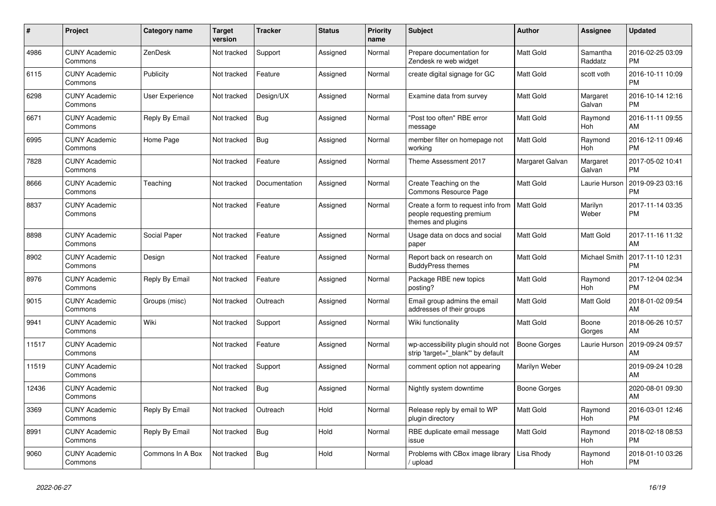| $\#$  | Project                         | Category name    | <b>Target</b><br>version | Tracker       | <b>Status</b> | <b>Priority</b><br>name | <b>Subject</b>                                                                        | <b>Author</b>       | <b>Assignee</b>     | <b>Updated</b>                |
|-------|---------------------------------|------------------|--------------------------|---------------|---------------|-------------------------|---------------------------------------------------------------------------------------|---------------------|---------------------|-------------------------------|
| 4986  | <b>CUNY Academic</b><br>Commons | ZenDesk          | Not tracked              | Support       | Assigned      | Normal                  | Prepare documentation for<br>Zendesk re web widget                                    | Matt Gold           | Samantha<br>Raddatz | 2016-02-25 03:09<br><b>PM</b> |
| 6115  | <b>CUNY Academic</b><br>Commons | Publicity        | Not tracked              | Feature       | Assigned      | Normal                  | create digital signage for GC                                                         | Matt Gold           | scott voth          | 2016-10-11 10:09<br><b>PM</b> |
| 6298  | <b>CUNY Academic</b><br>Commons | User Experience  | Not tracked              | Design/UX     | Assigned      | Normal                  | Examine data from survey                                                              | Matt Gold           | Margaret<br>Galvan  | 2016-10-14 12:16<br><b>PM</b> |
| 6671  | <b>CUNY Academic</b><br>Commons | Reply By Email   | Not tracked              | Bug           | Assigned      | Normal                  | "Post too often" RBE error<br>message                                                 | Matt Gold           | Raymond<br>Hoh      | 2016-11-11 09:55<br>AM        |
| 6995  | <b>CUNY Academic</b><br>Commons | Home Page        | Not tracked              | <b>Bug</b>    | Assigned      | Normal                  | member filter on homepage not<br>working                                              | Matt Gold           | Raymond<br>Hoh      | 2016-12-11 09:46<br><b>PM</b> |
| 7828  | <b>CUNY Academic</b><br>Commons |                  | Not tracked              | Feature       | Assigned      | Normal                  | Theme Assessment 2017                                                                 | Margaret Galvan     | Margaret<br>Galvan  | 2017-05-02 10:41<br><b>PM</b> |
| 8666  | <b>CUNY Academic</b><br>Commons | Teaching         | Not tracked              | Documentation | Assigned      | Normal                  | Create Teaching on the<br>Commons Resource Page                                       | Matt Gold           | Laurie Hurson       | 2019-09-23 03:16<br><b>PM</b> |
| 8837  | <b>CUNY Academic</b><br>Commons |                  | Not tracked              | Feature       | Assigned      | Normal                  | Create a form to request info from<br>people requesting premium<br>themes and plugins | Matt Gold           | Marilyn<br>Weber    | 2017-11-14 03:35<br><b>PM</b> |
| 8898  | <b>CUNY Academic</b><br>Commons | Social Paper     | Not tracked              | Feature       | Assigned      | Normal                  | Usage data on docs and social<br>paper                                                | Matt Gold           | Matt Gold           | 2017-11-16 11:32<br>AM        |
| 8902  | <b>CUNY Academic</b><br>Commons | Design           | Not tracked              | Feature       | Assigned      | Normal                  | Report back on research on<br><b>BuddyPress themes</b>                                | Matt Gold           | Michael Smith       | 2017-11-10 12:31<br><b>PM</b> |
| 8976  | <b>CUNY Academic</b><br>Commons | Reply By Email   | Not tracked              | Feature       | Assigned      | Normal                  | Package RBE new topics<br>posting?                                                    | Matt Gold           | Raymond<br>Hoh      | 2017-12-04 02:34<br><b>PM</b> |
| 9015  | <b>CUNY Academic</b><br>Commons | Groups (misc)    | Not tracked              | Outreach      | Assigned      | Normal                  | Email group admins the email<br>addresses of their groups                             | Matt Gold           | Matt Gold           | 2018-01-02 09:54<br>AM        |
| 9941  | <b>CUNY Academic</b><br>Commons | Wiki             | Not tracked              | Support       | Assigned      | Normal                  | Wiki functionality                                                                    | Matt Gold           | Boone<br>Gorges     | 2018-06-26 10:57<br>AM        |
| 11517 | <b>CUNY Academic</b><br>Commons |                  | Not tracked              | Feature       | Assigned      | Normal                  | wp-accessibility plugin should not<br>strip 'target=" blank" by default               | Boone Gorges        | Laurie Hurson       | 2019-09-24 09:57<br>AM        |
| 11519 | <b>CUNY Academic</b><br>Commons |                  | Not tracked              | Support       | Assigned      | Normal                  | comment option not appearing                                                          | Marilyn Weber       |                     | 2019-09-24 10:28<br>AM        |
| 12436 | <b>CUNY Academic</b><br>Commons |                  | Not tracked              | <b>Bug</b>    | Assigned      | Normal                  | Nightly system downtime                                                               | <b>Boone Gorges</b> |                     | 2020-08-01 09:30<br>AM        |
| 3369  | <b>CUNY Academic</b><br>Commons | Reply By Email   | Not tracked              | Outreach      | Hold          | Normal                  | Release reply by email to WP<br>plugin directory                                      | Matt Gold           | Raymond<br>Hoh      | 2016-03-01 12:46<br><b>PM</b> |
| 8991  | <b>CUNY Academic</b><br>Commons | Reply By Email   | Not tracked              | <b>Bug</b>    | Hold          | Normal                  | RBE duplicate email message<br>issue                                                  | Matt Gold           | Raymond<br>Hoh      | 2018-02-18 08:53<br><b>PM</b> |
| 9060  | <b>CUNY Academic</b><br>Commons | Commons In A Box | Not tracked              | Bug           | Hold          | Normal                  | Problems with CBox image library<br>/ upload                                          | Lisa Rhody          | Raymond<br>Hoh      | 2018-01-10 03:26<br><b>PM</b> |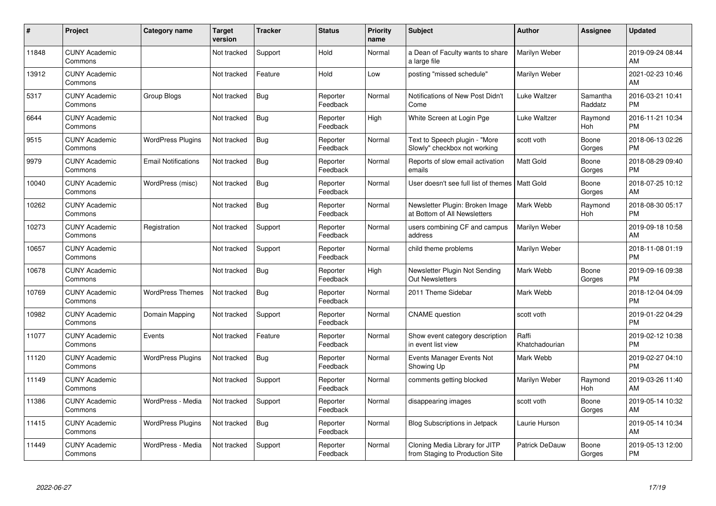| #     | Project                         | <b>Category name</b>       | <b>Target</b><br>version | <b>Tracker</b> | <b>Status</b>        | <b>Priority</b><br>name | <b>Subject</b>                                                    | <b>Author</b>           | <b>Assignee</b>     | <b>Updated</b>                |
|-------|---------------------------------|----------------------------|--------------------------|----------------|----------------------|-------------------------|-------------------------------------------------------------------|-------------------------|---------------------|-------------------------------|
| 11848 | <b>CUNY Academic</b><br>Commons |                            | Not tracked              | Support        | Hold                 | Normal                  | a Dean of Faculty wants to share<br>a large file                  | Marilyn Weber           |                     | 2019-09-24 08:44<br>AM        |
| 13912 | <b>CUNY Academic</b><br>Commons |                            | Not tracked              | Feature        | Hold                 | Low                     | posting "missed schedule"                                         | Marilyn Weber           |                     | 2021-02-23 10:46<br>AM        |
| 5317  | <b>CUNY Academic</b><br>Commons | Group Blogs                | Not tracked              | Bug            | Reporter<br>Feedback | Normal                  | Notifications of New Post Didn't<br>Come                          | Luke Waltzer            | Samantha<br>Raddatz | 2016-03-21 10:41<br><b>PM</b> |
| 6644  | <b>CUNY Academic</b><br>Commons |                            | Not tracked              | Bug            | Reporter<br>Feedback | High                    | White Screen at Login Pge                                         | Luke Waltzer            | Raymond<br>Hoh      | 2016-11-21 10:34<br><b>PM</b> |
| 9515  | <b>CUNY Academic</b><br>Commons | <b>WordPress Plugins</b>   | Not tracked              | <b>Bug</b>     | Reporter<br>Feedback | Normal                  | Text to Speech plugin - "More<br>Slowly" checkbox not working     | scott voth              | Boone<br>Gorges     | 2018-06-13 02:26<br><b>PM</b> |
| 9979  | <b>CUNY Academic</b><br>Commons | <b>Email Notifications</b> | Not tracked              | <b>Bug</b>     | Reporter<br>Feedback | Normal                  | Reports of slow email activation<br>emails                        | <b>Matt Gold</b>        | Boone<br>Gorges     | 2018-08-29 09:40<br><b>PM</b> |
| 10040 | <b>CUNY Academic</b><br>Commons | WordPress (misc)           | Not tracked              | <b>Bug</b>     | Reporter<br>Feedback | Normal                  | User doesn't see full list of themes   Matt Gold                  |                         | Boone<br>Gorges     | 2018-07-25 10:12<br>AM        |
| 10262 | <b>CUNY Academic</b><br>Commons |                            | Not tracked              | Bug            | Reporter<br>Feedback | Normal                  | Newsletter Plugin: Broken Image<br>at Bottom of All Newsletters   | Mark Webb               | Raymond<br>Hoh      | 2018-08-30 05:17<br><b>PM</b> |
| 10273 | <b>CUNY Academic</b><br>Commons | Registration               | Not tracked              | Support        | Reporter<br>Feedback | Normal                  | users combining CF and campus<br>address                          | Marilyn Weber           |                     | 2019-09-18 10:58<br>AM        |
| 10657 | <b>CUNY Academic</b><br>Commons |                            | Not tracked              | Support        | Reporter<br>Feedback | Normal                  | child theme problems                                              | Marilyn Weber           |                     | 2018-11-08 01:19<br><b>PM</b> |
| 10678 | <b>CUNY Academic</b><br>Commons |                            | Not tracked              | <b>Bug</b>     | Reporter<br>Feedback | High                    | Newsletter Plugin Not Sending<br><b>Out Newsletters</b>           | Mark Webb               | Boone<br>Gorges     | 2019-09-16 09:38<br><b>PM</b> |
| 10769 | <b>CUNY Academic</b><br>Commons | <b>WordPress Themes</b>    | Not tracked              | Bug            | Reporter<br>Feedback | Normal                  | 2011 Theme Sidebar                                                | Mark Webb               |                     | 2018-12-04 04:09<br><b>PM</b> |
| 10982 | <b>CUNY Academic</b><br>Commons | Domain Mapping             | Not tracked              | Support        | Reporter<br>Feedback | Normal                  | <b>CNAME</b> question                                             | scott voth              |                     | 2019-01-22 04:29<br><b>PM</b> |
| 11077 | <b>CUNY Academic</b><br>Commons | Events                     | Not tracked              | Feature        | Reporter<br>Feedback | Normal                  | Show event category description<br>in event list view             | Raffi<br>Khatchadourian |                     | 2019-02-12 10:38<br><b>PM</b> |
| 11120 | <b>CUNY Academic</b><br>Commons | <b>WordPress Plugins</b>   | Not tracked              | Bug            | Reporter<br>Feedback | Normal                  | Events Manager Events Not<br>Showing Up                           | Mark Webb               |                     | 2019-02-27 04:10<br><b>PM</b> |
| 11149 | <b>CUNY Academic</b><br>Commons |                            | Not tracked              | Support        | Reporter<br>Feedback | Normal                  | comments getting blocked                                          | Marilyn Weber           | Raymond<br>Hoh      | 2019-03-26 11:40<br>AM        |
| 11386 | <b>CUNY Academic</b><br>Commons | WordPress - Media          | Not tracked              | Support        | Reporter<br>Feedback | Normal                  | disappearing images                                               | scott voth              | Boone<br>Gorges     | 2019-05-14 10:32<br>AM        |
| 11415 | <b>CUNY Academic</b><br>Commons | <b>WordPress Plugins</b>   | Not tracked              | Bug            | Reporter<br>Feedback | Normal                  | <b>Blog Subscriptions in Jetpack</b>                              | Laurie Hurson           |                     | 2019-05-14 10:34<br>AM        |
| 11449 | <b>CUNY Academic</b><br>Commons | WordPress - Media          | Not tracked              | Support        | Reporter<br>Feedback | Normal                  | Cloning Media Library for JITP<br>from Staging to Production Site | Patrick DeDauw          | Boone<br>Gorges     | 2019-05-13 12:00<br><b>PM</b> |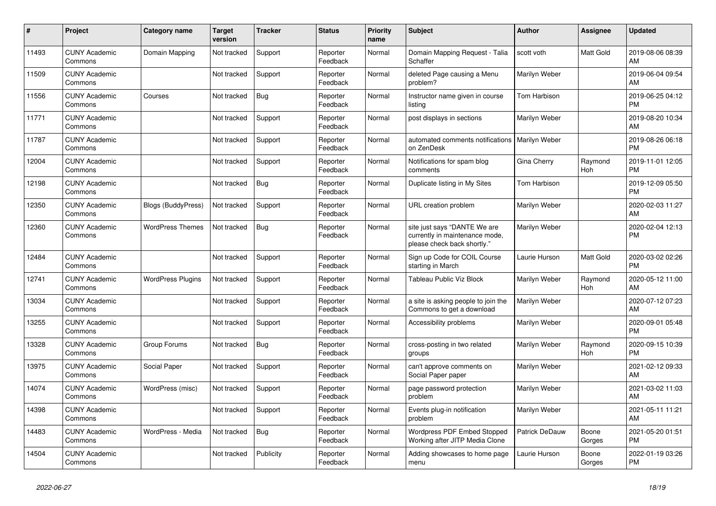| #     | <b>Project</b>                  | Category name            | Target<br>version | <b>Tracker</b> | <b>Status</b>        | <b>Priority</b><br>name | <b>Subject</b>                                                                                | <b>Author</b>  | Assignee        | <b>Updated</b>                |
|-------|---------------------------------|--------------------------|-------------------|----------------|----------------------|-------------------------|-----------------------------------------------------------------------------------------------|----------------|-----------------|-------------------------------|
| 11493 | <b>CUNY Academic</b><br>Commons | Domain Mapping           | Not tracked       | Support        | Reporter<br>Feedback | Normal                  | Domain Mapping Request - Talia<br>Schaffer                                                    | scott voth     | Matt Gold       | 2019-08-06 08:39<br>AM        |
| 11509 | <b>CUNY Academic</b><br>Commons |                          | Not tracked       | Support        | Reporter<br>Feedback | Normal                  | deleted Page causing a Menu<br>problem?                                                       | Marilyn Weber  |                 | 2019-06-04 09:54<br>AM        |
| 11556 | <b>CUNY Academic</b><br>Commons | Courses                  | Not tracked       | <b>Bug</b>     | Reporter<br>Feedback | Normal                  | Instructor name given in course<br>listing                                                    | Tom Harbison   |                 | 2019-06-25 04:12<br><b>PM</b> |
| 11771 | <b>CUNY Academic</b><br>Commons |                          | Not tracked       | Support        | Reporter<br>Feedback | Normal                  | post displays in sections                                                                     | Marilyn Weber  |                 | 2019-08-20 10:34<br>AM        |
| 11787 | <b>CUNY Academic</b><br>Commons |                          | Not tracked       | Support        | Reporter<br>Feedback | Normal                  | automated comments notifications   Marilyn Weber<br>on ZenDesk                                |                |                 | 2019-08-26 06:18<br><b>PM</b> |
| 12004 | <b>CUNY Academic</b><br>Commons |                          | Not tracked       | Support        | Reporter<br>Feedback | Normal                  | Notifications for spam blog<br>comments                                                       | Gina Cherry    | Raymond<br>Hoh  | 2019-11-01 12:05<br><b>PM</b> |
| 12198 | <b>CUNY Academic</b><br>Commons |                          | Not tracked       | <b>Bug</b>     | Reporter<br>Feedback | Normal                  | Duplicate listing in My Sites                                                                 | Tom Harbison   |                 | 2019-12-09 05:50<br><b>PM</b> |
| 12350 | <b>CUNY Academic</b><br>Commons | Blogs (BuddyPress)       | Not tracked       | Support        | Reporter<br>Feedback | Normal                  | <b>URL</b> creation problem                                                                   | Marilyn Weber  |                 | 2020-02-03 11:27<br>AM        |
| 12360 | <b>CUNY Academic</b><br>Commons | <b>WordPress Themes</b>  | Not tracked       | Bug            | Reporter<br>Feedback | Normal                  | site just says "DANTE We are<br>currently in maintenance mode,<br>please check back shortly." | Marilyn Weber  |                 | 2020-02-04 12:13<br><b>PM</b> |
| 12484 | <b>CUNY Academic</b><br>Commons |                          | Not tracked       | Support        | Reporter<br>Feedback | Normal                  | Sign up Code for COIL Course<br>starting in March                                             | Laurie Hurson  | Matt Gold       | 2020-03-02 02:26<br><b>PM</b> |
| 12741 | <b>CUNY Academic</b><br>Commons | <b>WordPress Plugins</b> | Not tracked       | Support        | Reporter<br>Feedback | Normal                  | <b>Tableau Public Viz Block</b>                                                               | Marilyn Weber  | Raymond<br>Hoh  | 2020-05-12 11:00<br>AM        |
| 13034 | <b>CUNY Academic</b><br>Commons |                          | Not tracked       | Support        | Reporter<br>Feedback | Normal                  | a site is asking people to join the<br>Commons to get a download                              | Marilyn Weber  |                 | 2020-07-12 07:23<br>AM        |
| 13255 | <b>CUNY Academic</b><br>Commons |                          | Not tracked       | Support        | Reporter<br>Feedback | Normal                  | Accessibility problems                                                                        | Marilyn Weber  |                 | 2020-09-01 05:48<br><b>PM</b> |
| 13328 | <b>CUNY Academic</b><br>Commons | Group Forums             | Not tracked       | Bug            | Reporter<br>Feedback | Normal                  | cross-posting in two related<br>groups                                                        | Marilyn Weber  | Raymond<br>Hoh  | 2020-09-15 10:39<br><b>PM</b> |
| 13975 | <b>CUNY Academic</b><br>Commons | Social Paper             | Not tracked       | Support        | Reporter<br>Feedback | Normal                  | can't approve comments on<br>Social Paper paper                                               | Marilyn Weber  |                 | 2021-02-12 09:33<br>AM        |
| 14074 | <b>CUNY Academic</b><br>Commons | WordPress (misc)         | Not tracked       | Support        | Reporter<br>Feedback | Normal                  | page password protection<br>problem                                                           | Marilyn Weber  |                 | 2021-03-02 11:03<br>AM        |
| 14398 | <b>CUNY Academic</b><br>Commons |                          | Not tracked       | Support        | Reporter<br>Feedback | Normal                  | Events plug-in notification<br>problem                                                        | Marilyn Weber  |                 | 2021-05-11 11:21<br>AM        |
| 14483 | <b>CUNY Academic</b><br>Commons | WordPress - Media        | Not tracked       | Bug            | Reporter<br>Feedback | Normal                  | Wordpress PDF Embed Stopped<br>Working after JITP Media Clone                                 | Patrick DeDauw | Boone<br>Gorges | 2021-05-20 01:51<br><b>PM</b> |
| 14504 | <b>CUNY Academic</b><br>Commons |                          | Not tracked       | Publicity      | Reporter<br>Feedback | Normal                  | Adding showcases to home page<br>menu                                                         | Laurie Hurson  | Boone<br>Gorges | 2022-01-19 03:26<br><b>PM</b> |